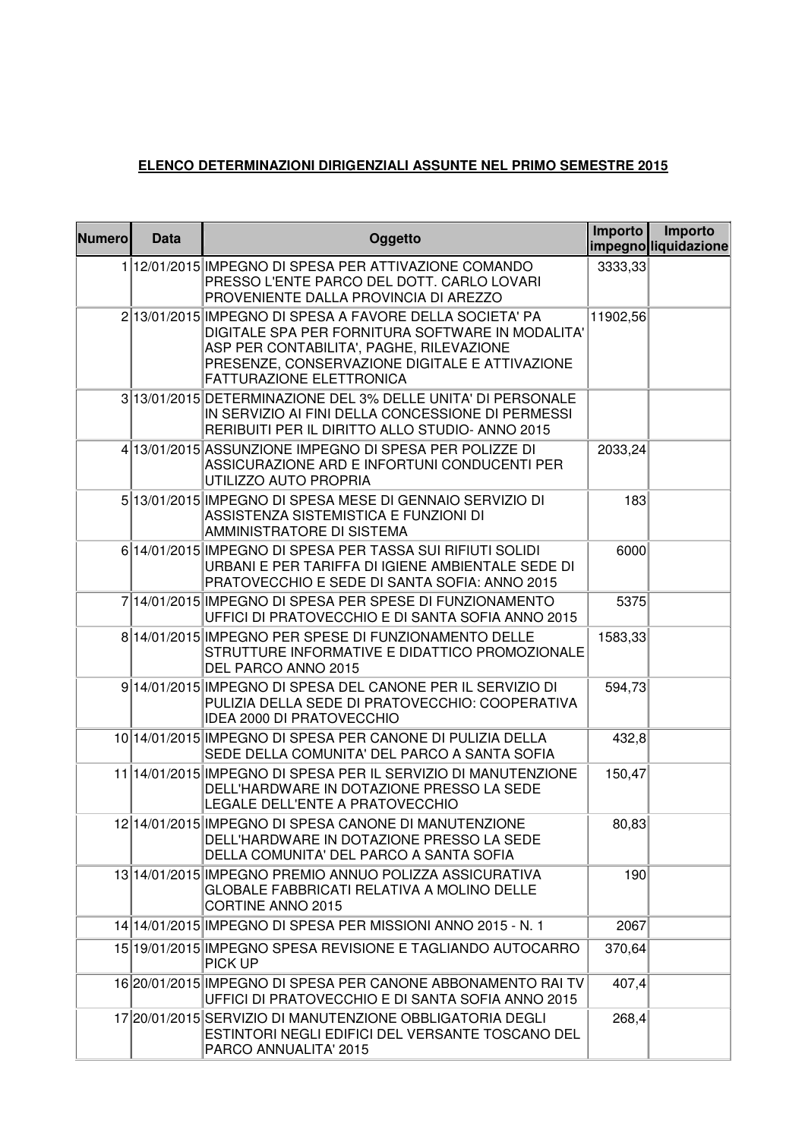## **ELENCO DETERMINAZIONI DIRIGENZIALI ASSUNTE NEL PRIMO SEMESTRE 2015**

| <b>Numero</b> | <b>Data</b> | Oggetto                                                                                                                                                                                                                                       | Importo  | Importo<br>impegno liquidazione |
|---------------|-------------|-----------------------------------------------------------------------------------------------------------------------------------------------------------------------------------------------------------------------------------------------|----------|---------------------------------|
|               |             | 1 12/01/2015 IMPEGNO DI SPESA PER ATTIVAZIONE COMANDO<br>PRESSO L'ENTE PARCO DEL DOTT. CARLO LOVARI<br>PROVENIENTE DALLA PROVINCIA DI AREZZO                                                                                                  | 3333,33  |                                 |
|               |             | 2 13/01/2015 IMPEGNO DI SPESA A FAVORE DELLA SOCIETA' PA<br>DIGITALE SPA PER FORNITURA SOFTWARE IN MODALITA'<br>ASP PER CONTABILITA', PAGHE, RILEVAZIONE<br>PRESENZE, CONSERVAZIONE DIGITALE E ATTIVAZIONE<br><b>FATTURAZIONE ELETTRONICA</b> | 11902,56 |                                 |
|               |             | 3 13/01/2015 DETERMINAZIONE DEL 3% DELLE UNITA' DI PERSONALE<br>IN SERVIZIO AI FINI DELLA CONCESSIONE DI PERMESSI<br>RERIBUITI PER IL DIRITTO ALLO STUDIO- ANNO 2015                                                                          |          |                                 |
|               |             | 4 13/01/2015 ASSUNZIONE IMPEGNO DI SPESA PER POLIZZE DI<br>ASSICURAZIONE ARD E INFORTUNI CONDUCENTI PER<br>UTILIZZO AUTO PROPRIA                                                                                                              | 2033,24  |                                 |
|               |             | 5 13/01/2015 IMPEGNO DI SPESA MESE DI GENNAIO SERVIZIO DI<br>ASSISTENZA SISTEMISTICA E FUNZIONI DI<br>AMMINISTRATORE DI SISTEMA                                                                                                               | 183      |                                 |
|               |             | 6 14/01/2015 IMPEGNO DI SPESA PER TASSA SUI RIFIUTI SOLIDI<br>URBANI E PER TARIFFA DI IGIENE AMBIENTALE SEDE DI<br>PRATOVECCHIO E SEDE DI SANTA SOFIA: ANNO 2015                                                                              | 6000     |                                 |
|               |             | 7 14/01/2015 IMPEGNO DI SPESA PER SPESE DI FUNZIONAMENTO<br>UFFICI DI PRATOVECCHIO E DI SANTA SOFIA ANNO 2015                                                                                                                                 | 5375     |                                 |
|               |             | 8 14/01/2015 IMPEGNO PER SPESE DI FUNZIONAMENTO DELLE<br>STRUTTURE INFORMATIVE E DIDATTICO PROMOZIONALE<br>DEL PARCO ANNO 2015                                                                                                                | 1583,33  |                                 |
|               |             | 9 14/01/2015 IMPEGNO DI SPESA DEL CANONE PER IL SERVIZIO DI<br>PULIZIA DELLA SEDE DI PRATOVECCHIO: COOPERATIVA<br><b>IDEA 2000 DI PRATOVECCHIO</b>                                                                                            | 594,73   |                                 |
|               |             | 10 14/01/2015 IMPEGNO DI SPESA PER CANONE DI PULIZIA DELLA<br>SEDE DELLA COMUNITA' DEL PARCO A SANTA SOFIA                                                                                                                                    | 432,8    |                                 |
|               |             | 11 14/01/2015 IMPEGNO DI SPESA PER IL SERVIZIO DI MANUTENZIONE<br>DELL'HARDWARE IN DOTAZIONE PRESSO LA SEDE<br>LEGALE DELL'ENTE A PRATOVECCHIO                                                                                                | 150,47   |                                 |
|               |             | 12 14/01/2015 IMPEGNO DI SPESA CANONE DI MANUTENZIONE<br>DELL'HARDWARE IN DOTAZIONE PRESSO LA SEDE<br>DELLA COMUNITA' DEL PARCO A SANTA SOFIA                                                                                                 | 80,83    |                                 |
|               |             | 13 14/01/2015 IMPEGNO PREMIO ANNUO POLIZZA ASSICURATIVA<br><b>GLOBALE FABBRICATI RELATIVA A MOLINO DELLE</b><br>CORTINE ANNO 2015                                                                                                             | 190      |                                 |
|               |             | 14 14/01/2015 IMPEGNO DI SPESA PER MISSIONI ANNO 2015 - N. 1                                                                                                                                                                                  | 2067     |                                 |
|               |             | 15 19/01/2015 IMPEGNO SPESA REVISIONE E TAGLIANDO AUTOCARRO<br>PICK UP                                                                                                                                                                        | 370,64   |                                 |
|               |             | 16 20/01/2015 IMPEGNO DI SPESA PER CANONE ABBONAMENTO RAI TV<br>UFFICI DI PRATOVECCHIO E DI SANTA SOFIA ANNO 2015                                                                                                                             | 407,4    |                                 |
|               |             | 17 20/01/2015 SERVIZIO DI MANUTENZIONE OBBLIGATORIA DEGLI<br>ESTINTORI NEGLI EDIFICI DEL VERSANTE TOSCANO DEL<br>PARCO ANNUALITA' 2015                                                                                                        | 268,4    |                                 |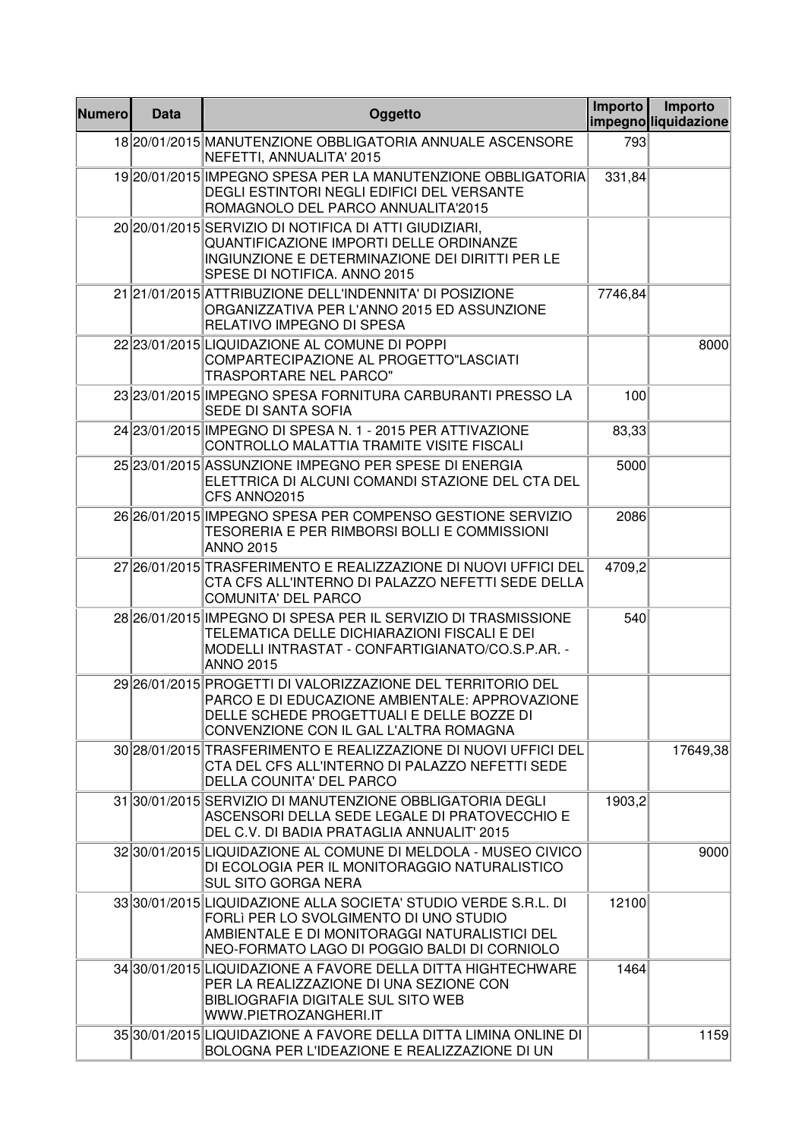| <b>Numero</b> | <b>Data</b> | Oggetto                                                                                                                                                                                                    | Importo | Importo<br>impegnoliguidazione |
|---------------|-------------|------------------------------------------------------------------------------------------------------------------------------------------------------------------------------------------------------------|---------|--------------------------------|
|               |             | 18 20/01/2015 MANUTENZIONE OBBLIGATORIA ANNUALE ASCENSORE<br>NEFETTI, ANNUALITA' 2015                                                                                                                      | 793     |                                |
|               |             | 19 20/01/2015 IMPEGNO SPESA PER LA MANUTENZIONE OBBLIGATORIA<br>DEGLI ESTINTORI NEGLI EDIFICI DEL VERSANTE<br>ROMAGNOLO DEL PARCO ANNUALITA'2015                                                           | 331,84  |                                |
|               |             | 20 20/01/2015 SERVIZIO DI NOTIFICA DI ATTI GIUDIZIARI,<br>QUANTIFICAZIONE IMPORTI DELLE ORDINANZE<br>INGIUNZIONE E DETERMINAZIONE DEI DIRITTI PER LE<br>SPESE DI NOTIFICA. ANNO 2015                       |         |                                |
|               |             | 21 21/01/2015 ATTRIBUZIONE DELL'INDENNITA' DI POSIZIONE<br>ORGANIZZATIVA PER L'ANNO 2015 ED ASSUNZIONE<br>RELATIVO IMPEGNO DI SPESA                                                                        | 7746,84 |                                |
|               |             | 22 23/01/2015 LIQUIDAZIONE AL COMUNE DI POPPI<br>COMPARTECIPAZIONE AL PROGETTO"LASCIATI<br><b>TRASPORTARE NEL PARCO"</b>                                                                                   |         | 8000                           |
|               |             | 23 23/01/2015 IMPEGNO SPESA FORNITURA CARBURANTI PRESSO LA<br>SEDE DI SANTA SOFIA                                                                                                                          | 100     |                                |
|               |             | 24 23/01/2015 IMPEGNO DI SPESA N. 1 - 2015 PER ATTIVAZIONE<br>CONTROLLO MALATTIA TRAMITE VISITE FISCALI                                                                                                    | 83,33   |                                |
|               |             | 25 23/01/2015 ASSUNZIONE IMPEGNO PER SPESE DI ENERGIA<br>ELETTRICA DI ALCUNI COMANDI STAZIONE DEL CTA DEL<br>CFS ANNO2015                                                                                  | 5000    |                                |
|               |             | 26 26/01/2015 IMPEGNO SPESA PER COMPENSO GESTIONE SERVIZIO<br>TESORERIA E PER RIMBORSI BOLLI E COMMISSIONI<br><b>ANNO 2015</b>                                                                             | 2086    |                                |
|               |             | 27 26/01/2015 TRASFERIMENTO E REALIZZAZIONE DI NUOVI UFFICI DEL<br>CTA CFS ALL'INTERNO DI PALAZZO NEFETTI SEDE DELLA<br><b>COMUNITA' DEL PARCO</b>                                                         | 4709,2  |                                |
|               |             | 28 26/01/2015 IMPEGNO DI SPESA PER IL SERVIZIO DI TRASMISSIONE<br>TELEMATICA DELLE DICHIARAZIONI FISCALI E DEI<br>MODELLI INTRASTAT - CONFARTIGIANATO/CO.S.P.AR. -<br><b>ANNO 2015</b>                     | 540     |                                |
|               |             | 29 26/01/2015 PROGETTI DI VALORIZZAZIONE DEL TERRITORIO DEL<br>PARCO E DI EDUCAZIONE AMBIENTALE: APPROVAZIONE<br>DELLE SCHEDE PROGETTUALI E DELLE BOZZE DI<br>CONVENZIONE CON IL GAL L'ALTRA ROMAGNA       |         |                                |
|               |             | 30 28/01/2015 TRASFERIMENTO E REALIZZAZIONE DI NUOVI UFFICI DEL<br>CTA DEL CFS ALL'INTERNO DI PALAZZO NEFETTI SEDE<br>DELLA COUNITA' DEL PARCO                                                             |         | 17649,38                       |
|               |             | 31 30/01/2015 SERVIZIO DI MANUTENZIONE OBBLIGATORIA DEGLI<br>ASCENSORI DELLA SEDE LEGALE DI PRATOVECCHIO E<br>DEL C.V. DI BADIA PRATAGLIA ANNUALIT' 2015                                                   | 1903,2  |                                |
|               |             | 32 30/01/2015 LIQUIDAZIONE AL COMUNE DI MELDOLA - MUSEO CIVICO<br>DI ECOLOGIA PER IL MONITORAGGIO NATURALISTICO<br><b>SUL SITO GORGA NERA</b>                                                              |         | 9000                           |
|               |             | 33 30/01/2015 LIQUIDAZIONE ALLA SOCIETA' STUDIO VERDE S.R.L. DI<br>FORLI PER LO SVOLGIMENTO DI UNO STUDIO<br>AMBIENTALE E DI MONITORAGGI NATURALISTICI DEL<br>NEO-FORMATO LAGO DI POGGIO BALDI DI CORNIOLO | 12100   |                                |
|               |             | 34 30/01/2015 LIQUIDAZIONE A FAVORE DELLA DITTA HIGHTECHWARE<br>PER LA REALIZZAZIONE DI UNA SEZIONE CON<br>BIBLIOGRAFIA DIGITALE SUL SITO WEB<br>WWW.PIETROZANGHERI.IT                                     | 1464    |                                |
|               |             | 35 30/01/2015 LIQUIDAZIONE A FAVORE DELLA DITTA LIMINA ONLINE DI<br>BOLOGNA PER L'IDEAZIONE E REALIZZAZIONE DI UN                                                                                          |         | 1159                           |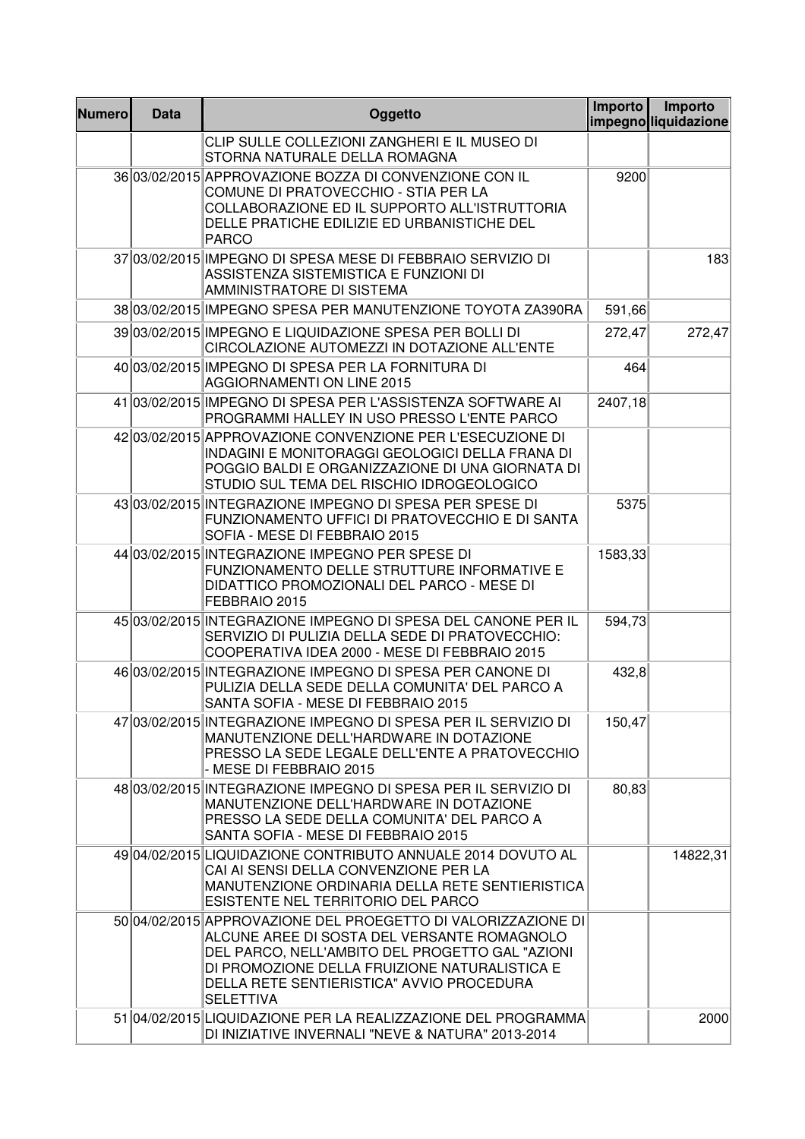| <b>Numero</b> | <b>Data</b> | Oggetto                                                                                                                                                                                                                                                                           | Importo | Importo<br>impegnoliquidazione |
|---------------|-------------|-----------------------------------------------------------------------------------------------------------------------------------------------------------------------------------------------------------------------------------------------------------------------------------|---------|--------------------------------|
|               |             | CLIP SULLE COLLEZIONI ZANGHERI E IL MUSEO DI<br>STORNA NATURALE DELLA ROMAGNA                                                                                                                                                                                                     |         |                                |
|               |             | 36 03/02/2015 APPROVAZIONE BOZZA DI CONVENZIONE CON IL<br>COMUNE DI PRATOVECCHIO - STIA PER LA<br>COLLABORAZIONE ED IL SUPPORTO ALL'ISTRUTTORIA<br>DELLE PRATICHE EDILIZIE ED URBANISTICHE DEL<br><b>PARCO</b>                                                                    | 9200    |                                |
|               |             | 37 03/02/2015 IMPEGNO DI SPESA MESE DI FEBBRAIO SERVIZIO DI<br>ASSISTENZA SISTEMISTICA E FUNZIONI DI<br>AMMINISTRATORE DI SISTEMA                                                                                                                                                 |         | 183                            |
|               |             | 38 03/02/2015 IMPEGNO SPESA PER MANUTENZIONE TOYOTA ZA390RA                                                                                                                                                                                                                       | 591,66  |                                |
|               |             | 39 03/02/2015 IMPEGNO E LIQUIDAZIONE SPESA PER BOLLI DI<br>CIRCOLAZIONE AUTOMEZZI IN DOTAZIONE ALL'ENTE                                                                                                                                                                           | 272,47  | 272,47                         |
|               |             | 40 03/02/2015 IMPEGNO DI SPESA PER LA FORNITURA DI<br><b>AGGIORNAMENTI ON LINE 2015</b>                                                                                                                                                                                           | 464     |                                |
|               |             | 41 03/02/2015 IMPEGNO DI SPESA PER L'ASSISTENZA SOFTWARE AI<br>PROGRAMMI HALLEY IN USO PRESSO L'ENTE PARCO                                                                                                                                                                        | 2407,18 |                                |
|               |             | 4203/02/2015 APPROVAZIONE CONVENZIONE PER L'ESECUZIONE DI<br>INDAGINI E MONITORAGGI GEOLOGICI DELLA FRANA DI<br>POGGIO BALDI E ORGANIZZAZIONE DI UNA GIORNATA DI<br>STUDIO SUL TEMA DEL RISCHIO IDROGEOLOGICO                                                                     |         |                                |
|               |             | 43 03/02/2015 INTEGRAZIONE IMPEGNO DI SPESA PER SPESE DI<br>FUNZIONAMENTO UFFICI DI PRATOVECCHIO E DI SANTA<br>SOFIA - MESE DI FEBBRAIO 2015                                                                                                                                      | 5375    |                                |
|               |             | 44 03/02/2015 INTEGRAZIONE IMPEGNO PER SPESE DI<br>FUNZIONAMENTO DELLE STRUTTURE INFORMATIVE E<br>DIDATTICO PROMOZIONALI DEL PARCO - MESE DI<br>FEBBRAIO 2015                                                                                                                     | 1583,33 |                                |
|               |             | 45 03/02/2015 INTEGRAZIONE IMPEGNO DI SPESA DEL CANONE PER IL<br>SERVIZIO DI PULIZIA DELLA SEDE DI PRATOVECCHIO:<br>COOPERATIVA IDEA 2000 - MESE DI FEBBRAIO 2015                                                                                                                 | 594,73  |                                |
|               |             | 46 03/02/2015 INTEGRAZIONE IMPEGNO DI SPESA PER CANONE DI<br>PULIZIA DELLA SEDE DELLA COMUNITA' DEL PARCO A<br>SANTA SOFIA - MESE DI FEBBRAIO 2015                                                                                                                                | 432,8   |                                |
|               |             | 47 03/02/2015 INTEGRAZIONE IMPEGNO DI SPESA PER IL SERVIZIO DI<br>MANUTENZIONE DELL'HARDWARE IN DOTAZIONE<br>PRESSO LA SEDE LEGALE DELL'ENTE A PRATOVECCHIO<br>- MESE DI FEBBRAIO 2015                                                                                            | 150,47  |                                |
|               |             | 48 03/02/2015 INTEGRAZIONE IMPEGNO DI SPESA PER IL SERVIZIO DI<br>MANUTENZIONE DELL'HARDWARE IN DOTAZIONE<br>PRESSO LA SEDE DELLA COMUNITA' DEL PARCO A<br>SANTA SOFIA - MESE DI FEBBRAIO 2015                                                                                    | 80,83   |                                |
|               |             | 49 04/02/2015 LIQUIDAZIONE CONTRIBUTO ANNUALE 2014 DOVUTO AL<br>CAI AI SENSI DELLA CONVENZIONE PER LA<br>MANUTENZIONE ORDINARIA DELLA RETE SENTIERISTICA<br>ESISTENTE NEL TERRITORIO DEL PARCO                                                                                    |         | 14822,31                       |
|               |             | 50 04/02/2015 APPROVAZIONE DEL PROEGETTO DI VALORIZZAZIONE DI<br>ALCUNE AREE DI SOSTA DEL VERSANTE ROMAGNOLO<br>DEL PARCO, NELL'AMBITO DEL PROGETTO GAL "AZIONI<br>DI PROMOZIONE DELLA FRUIZIONE NATURALISTICA E<br>DELLA RETE SENTIERISTICA" AVVIO PROCEDURA<br><b>SELETTIVA</b> |         |                                |
|               |             | 51 04/02/2015 LIQUIDAZIONE PER LA REALIZZAZIONE DEL PROGRAMMA<br>DI INIZIATIVE INVERNALI "NEVE & NATURA" 2013-2014                                                                                                                                                                |         | 2000                           |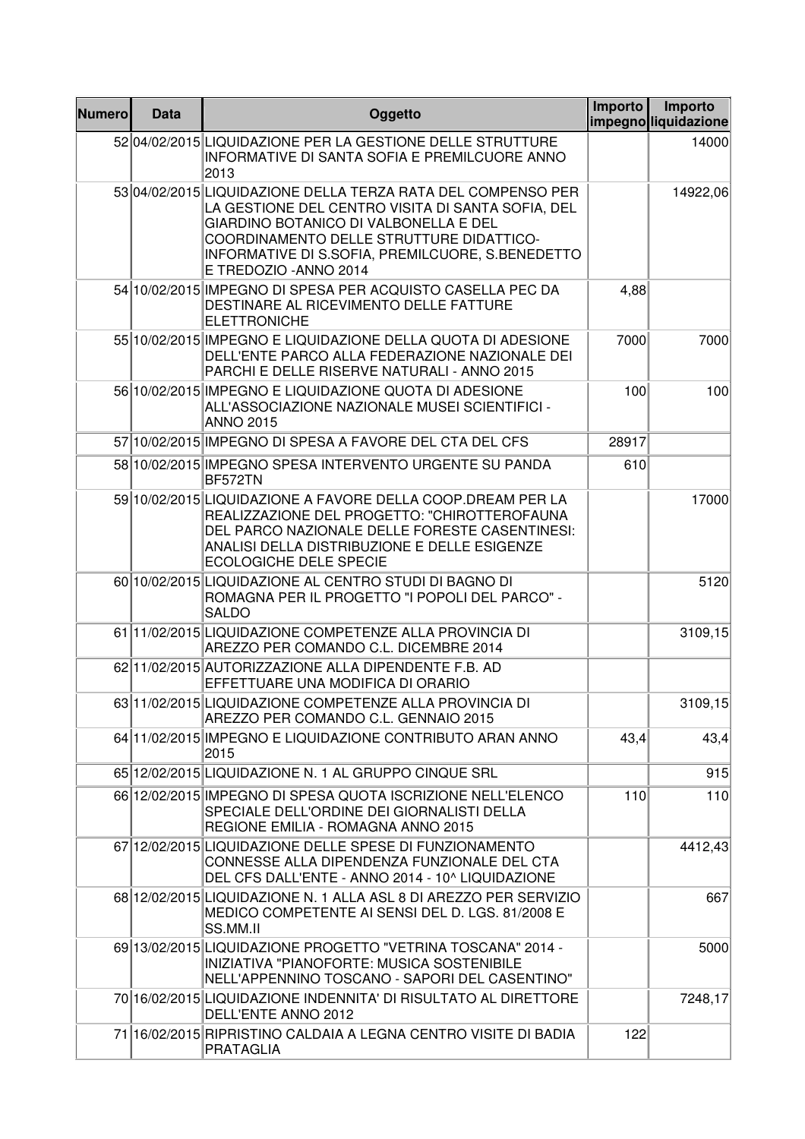| <b>Numero</b> | <b>Data</b> | Oggetto                                                                                                                                                                                                                                                                              | Importo | Importo<br>impegnoliguidazione |
|---------------|-------------|--------------------------------------------------------------------------------------------------------------------------------------------------------------------------------------------------------------------------------------------------------------------------------------|---------|--------------------------------|
|               |             | 5204/02/2015 LIQUIDAZIONE PER LA GESTIONE DELLE STRUTTURE<br>INFORMATIVE DI SANTA SOFIA E PREMILCUORE ANNO<br>2013                                                                                                                                                                   |         | 14000                          |
|               |             | 53 04/02/2015 LIQUIDAZIONE DELLA TERZA RATA DEL COMPENSO PER<br>LA GESTIONE DEL CENTRO VISITA DI SANTA SOFIA, DEL<br>GIARDINO BOTANICO DI VALBONELLA E DEL<br>COORDINAMENTO DELLE STRUTTURE DIDATTICO-<br>INFORMATIVE DI S.SOFIA, PREMILCUORE, S.BENEDETTO<br>E TREDOZIO - ANNO 2014 |         | 14922,06                       |
|               |             | 54 10/02/2015 IMPEGNO DI SPESA PER ACQUISTO CASELLA PEC DA<br>DESTINARE AL RICEVIMENTO DELLE FATTURE<br><b>ELETTRONICHE</b>                                                                                                                                                          | 4,88    |                                |
|               |             | 55 10/02/2015 IMPEGNO E LIQUIDAZIONE DELLA QUOTA DI ADESIONE<br>DELL'ENTE PARCO ALLA FEDERAZIONE NAZIONALE DEI<br>PARCHI E DELLE RISERVE NATURALI - ANNO 2015                                                                                                                        | 7000    | 7000                           |
|               |             | 56 10/02/2015 IMPEGNO E LIQUIDAZIONE QUOTA DI ADESIONE<br>ALL'ASSOCIAZIONE NAZIONALE MUSEI SCIENTIFICI -<br><b>ANNO 2015</b>                                                                                                                                                         | 100     | 100                            |
|               |             | 57 10/02/2015 IMPEGNO DI SPESA A FAVORE DEL CTA DEL CFS                                                                                                                                                                                                                              | 28917   |                                |
|               |             | 58 10/02/2015 IMPEGNO SPESA INTERVENTO URGENTE SU PANDA<br>BF572TN                                                                                                                                                                                                                   | 610     |                                |
|               |             | 59 10/02/2015 LIQUIDAZIONE A FAVORE DELLA COOP.DREAM PER LA<br>REALIZZAZIONE DEL PROGETTO: "CHIROTTEROFAUNA<br>DEL PARCO NAZIONALE DELLE FORESTE CASENTINESI:<br>ANALISI DELLA DISTRIBUZIONE E DELLE ESIGENZE<br><b>ECOLOGICHE DELE SPECIE</b>                                       |         | 17000                          |
|               |             | 60 10/02/2015 LIQUIDAZIONE AL CENTRO STUDI DI BAGNO DI<br>ROMAGNA PER IL PROGETTO "I POPOLI DEL PARCO" -<br><b>SALDO</b>                                                                                                                                                             |         | 5120                           |
|               |             | 61 11/02/2015 LIQUIDAZIONE COMPETENZE ALLA PROVINCIA DI<br>AREZZO PER COMANDO C.L. DICEMBRE 2014                                                                                                                                                                                     |         | 3109,15                        |
|               |             | 62 11/02/2015 AUTORIZZAZIONE ALLA DIPENDENTE F.B. AD<br>EFFETTUARE UNA MODIFICA DI ORARIO                                                                                                                                                                                            |         |                                |
|               |             | 63 11/02/2015 LIQUIDAZIONE COMPETENZE ALLA PROVINCIA DI<br>AREZZO PER COMANDO C.L. GENNAIO 2015                                                                                                                                                                                      |         | 3109, 15                       |
|               |             | 64 11/02/2015 IMPEGNO E LIQUIDAZIONE CONTRIBUTO ARAN ANNO<br>2015                                                                                                                                                                                                                    | 43,4    | 43,4                           |
|               |             | 65 12/02/2015 LIQUIDAZIONE N. 1 AL GRUPPO CINQUE SRL                                                                                                                                                                                                                                 |         | 915                            |
|               |             | 66 12/02/2015 IMPEGNO DI SPESA QUOTA ISCRIZIONE NELL'ELENCO<br>SPECIALE DELL'ORDINE DEI GIORNALISTI DELLA<br>REGIONE EMILIA - ROMAGNA ANNO 2015                                                                                                                                      | 110     | 110                            |
|               |             | 67 12/02/2015 LIQUIDAZIONE DELLE SPESE DI FUNZIONAMENTO<br>CONNESSE ALLA DIPENDENZA FUNZIONALE DEL CTA<br>DEL CFS DALL'ENTE - ANNO 2014 - 10^ LIQUIDAZIONE                                                                                                                           |         | 4412,43                        |
|               |             | 68 12/02/2015 LIQUIDAZIONE N. 1 ALLA ASL 8 DI AREZZO PER SERVIZIO<br>MEDICO COMPETENTE AI SENSI DEL D. LGS. 81/2008 E<br>SS.MM.II                                                                                                                                                    |         | 667                            |
|               |             | 69 13/02/2015 LIQUIDAZIONE PROGETTO "VETRINA TOSCANA" 2014 -<br><b>INIZIATIVA "PIANOFORTE: MUSICA SOSTENIBILE</b><br>NELL'APPENNINO TOSCANO - SAPORI DEL CASENTINO"                                                                                                                  |         | 5000                           |
|               |             | 70 16/02/2015 LIQUIDAZIONE INDENNITA' DI RISULTATO AL DIRETTORE<br>DELL'ENTE ANNO 2012                                                                                                                                                                                               |         | 7248,17                        |
|               |             | 71 16/02/2015 RIPRISTINO CALDAIA A LEGNA CENTRO VISITE DI BADIA<br>PRATAGLIA                                                                                                                                                                                                         | 122     |                                |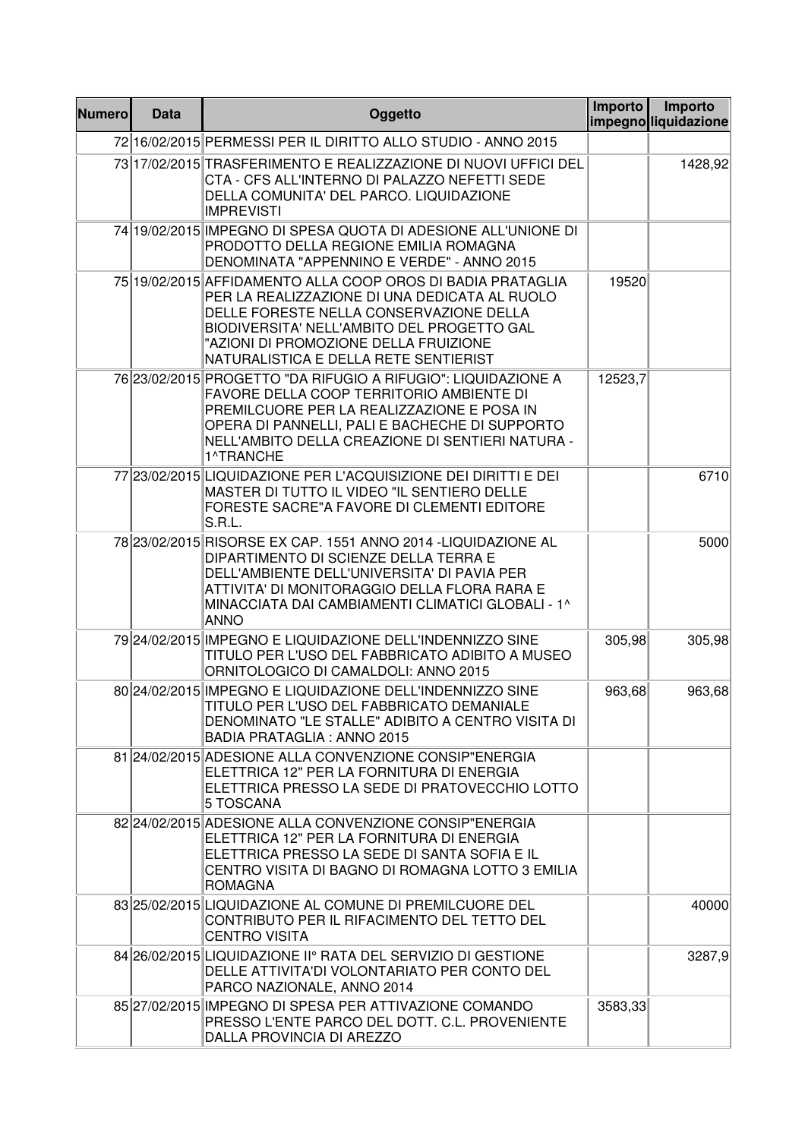| <b>Numero</b> | <b>Data</b> | Oggetto                                                                                                                                                                                                                                                                                 | Importo | Importo<br>impegnolliquidazione |
|---------------|-------------|-----------------------------------------------------------------------------------------------------------------------------------------------------------------------------------------------------------------------------------------------------------------------------------------|---------|---------------------------------|
|               |             | 72 16/02/2015 PERMESSI PER IL DIRITTO ALLO STUDIO - ANNO 2015                                                                                                                                                                                                                           |         |                                 |
|               |             | 73 17/02/2015 TRASFERIMENTO E REALIZZAZIONE DI NUOVI UFFICI DEL<br>CTA - CFS ALL'INTERNO DI PALAZZO NEFETTI SEDE<br>DELLA COMUNITA' DEL PARCO. LIQUIDAZIONE<br><b>IMPREVISTI</b>                                                                                                        |         | 1428,92                         |
|               |             | 74 19/02/2015 IMPEGNO DI SPESA QUOTA DI ADESIONE ALL'UNIONE DI<br>PRODOTTO DELLA REGIONE EMILIA ROMAGNA<br>DENOMINATA "APPENNINO E VERDE" - ANNO 2015                                                                                                                                   |         |                                 |
|               |             | 75 19/02/2015 AFFIDAMENTO ALLA COOP OROS DI BADIA PRATAGLIA<br>PER LA REALIZZAZIONE DI UNA DEDICATA AL RUOLO<br>DELLE FORESTE NELLA CONSERVAZIONE DELLA<br>BIODIVERSITA' NELL'AMBITO DEL PROGETTO GAL<br>"AZIONI DI PROMOZIONE DELLA FRUIZIONE<br>NATURALISTICA E DELLA RETE SENTIERIST | 19520   |                                 |
|               |             | 76 23/02/2015 PROGETTO "DA RIFUGIO A RIFUGIO": LIQUIDAZIONE A<br>FAVORE DELLA COOP TERRITORIO AMBIENTE DI<br>PREMILCUORE PER LA REALIZZAZIONE E POSA IN<br>OPERA DI PANNELLI, PALI E BACHECHE DI SUPPORTO<br>NELL'AMBITO DELLA CREAZIONE DI SENTIERI NATURA -<br>1^TRANCHE              | 12523,7 |                                 |
|               |             | 77 23/02/2015 LIQUIDAZIONE PER L'ACQUISIZIONE DEI DIRITTI E DEI<br>MASTER DI TUTTO IL VIDEO "IL SENTIERO DELLE<br>FORESTE SACRE"A FAVORE DI CLEMENTI EDITORE<br>S.R.L.                                                                                                                  |         | 6710                            |
|               |             | 78 23/02/2015 RISORSE EX CAP. 1551 ANNO 2014 - LIQUIDAZIONE AL<br>DIPARTIMENTO DI SCIENZE DELLA TERRA E<br>DELL'AMBIENTE DELL'UNIVERSITA' DI PAVIA PER<br>ATTIVITA' DI MONITORAGGIO DELLA FLORA RARA E<br>MINACCIATA DAI CAMBIAMENTI CLIMATICI GLOBALI - 1^<br><b>ANNO</b>              |         | 5000                            |
|               |             | 79 24/02/2015 IMPEGNO E LIQUIDAZIONE DELL'INDENNIZZO SINE<br>TITULO PER L'USO DEL FABBRICATO ADIBITO A MUSEO<br>ORNITOLOGICO DI CAMALDOLI: ANNO 2015                                                                                                                                    | 305,98  | 305,98                          |
|               |             | 80 24/02/2015 IMPEGNO E LIQUIDAZIONE DELL'INDENNIZZO SINE<br>TITULO PER L'USO DEL FABBRICATO DEMANIALE<br>DENOMINATO "LE STALLE" ADIBITO A CENTRO VISITA DI<br><b>BADIA PRATAGLIA: ANNO 2015</b>                                                                                        | 963,68  | 963,68                          |
|               |             | 81 24/02/2015 ADESIONE ALLA CONVENZIONE CONSIP"ENERGIA<br>ELETTRICA 12" PER LA FORNITURA DI ENERGIA<br>ELETTRICA PRESSO LA SEDE DI PRATOVECCHIO LOTTO<br>5 TOSCANA                                                                                                                      |         |                                 |
|               |             | 82 24/02/2015 ADESIONE ALLA CONVENZIONE CONSIP"ENERGIA<br>ELETTRICA 12" PER LA FORNITURA DI ENERGIA<br>ELETTRICA PRESSO LA SEDE DI SANTA SOFIA E IL<br>CENTRO VISITA DI BAGNO DI ROMAGNA LOTTO 3 EMILIA<br><b>ROMAGNA</b>                                                               |         |                                 |
|               |             | 83 25/02/2015 LIQUIDAZIONE AL COMUNE DI PREMILCUORE DEL<br>CONTRIBUTO PER IL RIFACIMENTO DEL TETTO DEL<br><b>CENTRO VISITA</b>                                                                                                                                                          |         | 40000                           |
|               |             | 84 26/02/2015 LIQUIDAZIONE II° RATA DEL SERVIZIO DI GESTIONE<br>DELLE ATTIVITA'DI VOLONTARIATO PER CONTO DEL<br>PARCO NAZIONALE, ANNO 2014                                                                                                                                              |         | 3287,9                          |
|               |             | 85 27/02/2015 IMPEGNO DI SPESA PER ATTIVAZIONE COMANDO<br>PRESSO L'ENTE PARCO DEL DOTT. C.L. PROVENIENTE<br>DALLA PROVINCIA DI AREZZO                                                                                                                                                   | 3583,33 |                                 |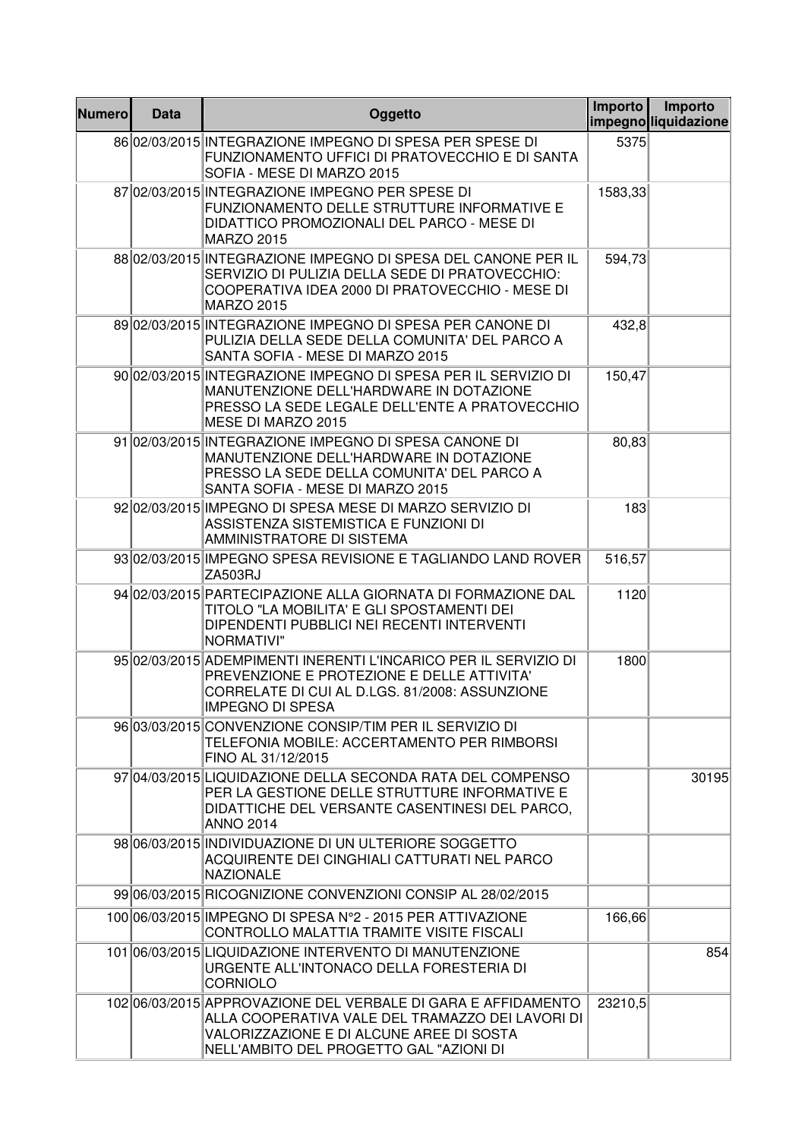| <b>Numero</b> | <b>Data</b> | Oggetto                                                                                                                                                                                                  | Importo | Importo<br>impegnoliquidazione |
|---------------|-------------|----------------------------------------------------------------------------------------------------------------------------------------------------------------------------------------------------------|---------|--------------------------------|
|               |             | 8602/03/2015 INTEGRAZIONE IMPEGNO DI SPESA PER SPESE DI<br>FUNZIONAMENTO UFFICI DI PRATOVECCHIO E DI SANTA<br>SOFIA - MESE DI MARZO 2015                                                                 | 5375    |                                |
|               |             | 87 02/03/2015 INTEGRAZIONE IMPEGNO PER SPESE DI<br>FUNZIONAMENTO DELLE STRUTTURE INFORMATIVE E<br>DIDATTICO PROMOZIONALI DEL PARCO - MESE DI<br><b>MARZO 2015</b>                                        | 1583,33 |                                |
|               |             | 88 02/03/2015 INTEGRAZIONE IMPEGNO DI SPESA DEL CANONE PER IL<br>SERVIZIO DI PULIZIA DELLA SEDE DI PRATOVECCHIO:<br>COOPERATIVA IDEA 2000 DI PRATOVECCHIO - MESE DI<br><b>MARZO 2015</b>                 | 594,73  |                                |
|               |             | 89 02/03/2015 INTEGRAZIONE IMPEGNO DI SPESA PER CANONE DI<br>PULIZIA DELLA SEDE DELLA COMUNITA' DEL PARCO A<br>SANTA SOFIA - MESE DI MARZO 2015                                                          | 432,8   |                                |
|               |             | 90 02/03/2015 INTEGRAZIONE IMPEGNO DI SPESA PER IL SERVIZIO DI<br>MANUTENZIONE DELL'HARDWARE IN DOTAZIONE<br>PRESSO LA SEDE LEGALE DELL'ENTE A PRATOVECCHIO<br>MESE DI MARZO 2015                        | 150,47  |                                |
|               |             | 91 02/03/2015 INTEGRAZIONE IMPEGNO DI SPESA CANONE DI<br>MANUTENZIONE DELL'HARDWARE IN DOTAZIONE<br>PRESSO LA SEDE DELLA COMUNITA' DEL PARCO A<br>SANTA SOFIA - MESE DI MARZO 2015                       | 80,83   |                                |
|               |             | 9202/03/2015 IMPEGNO DI SPESA MESE DI MARZO SERVIZIO DI<br>ASSISTENZA SISTEMISTICA E FUNZIONI DI<br>AMMINISTRATORE DI SISTEMA                                                                            | 183     |                                |
|               |             | 93 02/03/2015 IMPEGNO SPESA REVISIONE E TAGLIANDO LAND ROVER<br>ZA503RJ                                                                                                                                  | 516,57  |                                |
|               |             | 94 02/03/2015 PARTECIPAZIONE ALLA GIORNATA DI FORMAZIONE DAL<br>TITOLO "LA MOBILITA' E GLI SPOSTAMENTI DEI<br>DIPENDENTI PUBBLICI NEI RECENTI INTERVENTI<br><b>NORMATIVI"</b>                            | 1120    |                                |
|               |             | 95 02/03/2015 ADEMPIMENTI INERENTI L'INCARICO PER IL SERVIZIO DI<br>PREVENZIONE E PROTEZIONE E DELLE ATTIVITA'<br>CORRELATE DI CUI AL D.LGS. 81/2008: ASSUNZIONE<br>IMPEGNO DI SPESA                     | 1800    |                                |
|               |             | 96 03/03/2015 CONVENZIONE CONSIP/TIM PER IL SERVIZIO DI<br>TELEFONIA MOBILE: ACCERTAMENTO PER RIMBORSI<br>FINO AL 31/12/2015                                                                             |         |                                |
|               |             | 97 04/03/2015 LIQUIDAZIONE DELLA SECONDA RATA DEL COMPENSO<br>PER LA GESTIONE DELLE STRUTTURE INFORMATIVE E<br>DIDATTICHE DEL VERSANTE CASENTINESI DEL PARCO.<br><b>ANNO 2014</b>                        |         | 30195                          |
|               |             | 98 06/03/2015 INDIVIDUAZIONE DI UN ULTERIORE SOGGETTO<br>ACQUIRENTE DEI CINGHIALI CATTURATI NEL PARCO<br><b>NAZIONALE</b>                                                                                |         |                                |
|               |             | 99 06/03/2015 RICOGNIZIONE CONVENZIONI CONSIP AL 28/02/2015                                                                                                                                              |         |                                |
|               |             | 100 06/03/2015 IMPEGNO DI SPESA N°2 - 2015 PER ATTIVAZIONE<br>CONTROLLO MALATTIA TRAMITE VISITE FISCALI                                                                                                  | 166,66  |                                |
|               |             | 101 06/03/2015 LIQUIDAZIONE INTERVENTO DI MANUTENZIONE<br>URGENTE ALL'INTONACO DELLA FORESTERIA DI<br><b>CORNIOLO</b>                                                                                    |         | 854                            |
|               |             | 102 06/03/2015 APPROVAZIONE DEL VERBALE DI GARA E AFFIDAMENTO<br>ALLA COOPERATIVA VALE DEL TRAMAZZO DEI LAVORI DI<br>VALORIZZAZIONE E DI ALCUNE AREE DI SOSTA<br>NELL'AMBITO DEL PROGETTO GAL "AZIONI DI | 23210,5 |                                |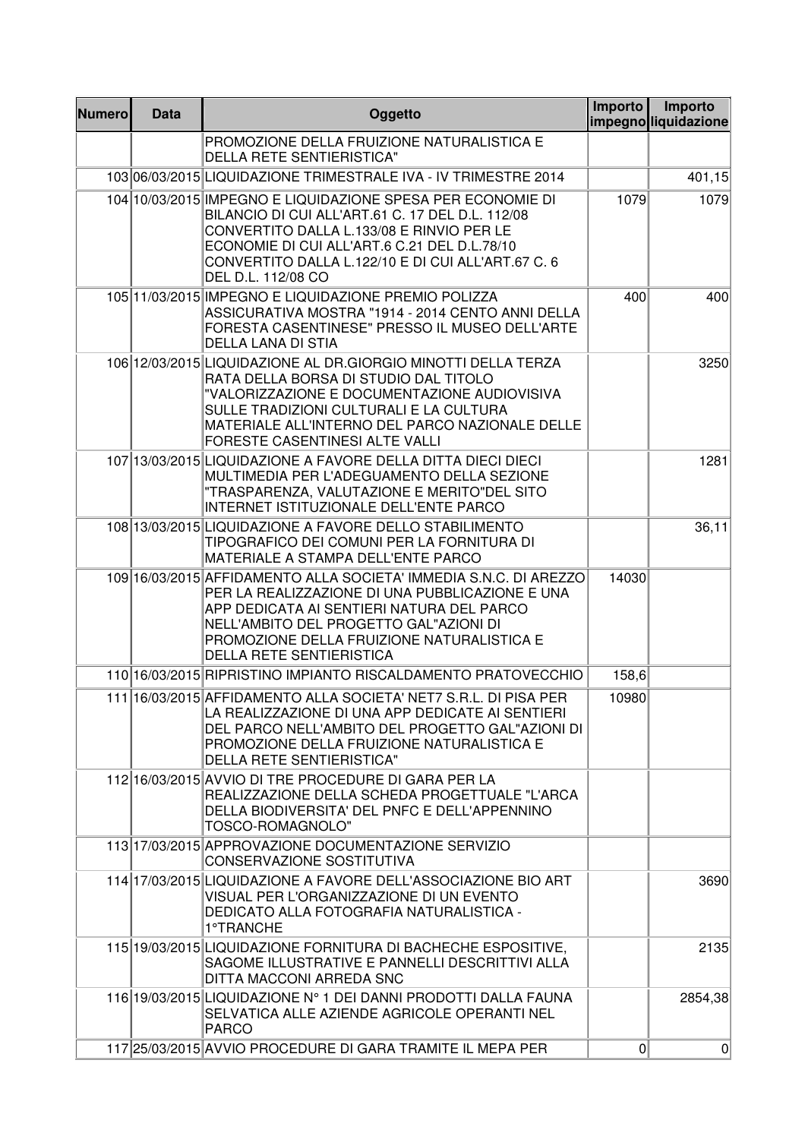| <b>Numero</b> | <b>Data</b> | Oggetto                                                                                                                                                                                                                                                                                      | Importo | Importo<br>impegnoliquidazione |
|---------------|-------------|----------------------------------------------------------------------------------------------------------------------------------------------------------------------------------------------------------------------------------------------------------------------------------------------|---------|--------------------------------|
|               |             | PROMOZIONE DELLA FRUIZIONE NATURALISTICA E<br><b>DELLA RETE SENTIERISTICA"</b>                                                                                                                                                                                                               |         |                                |
|               |             | 103 06/03/2015 LIQUIDAZIONE TRIMESTRALE IVA - IV TRIMESTRE 2014                                                                                                                                                                                                                              |         | 401,15                         |
|               |             | 104 10/03/2015 IMPEGNO E LIQUIDAZIONE SPESA PER ECONOMIE DI<br>BILANCIO DI CUI ALL'ART.61 C. 17 DEL D.L. 112/08<br>CONVERTITO DALLA L.133/08 E RINVIO PER LE<br>ECONOMIE DI CUI ALL'ART.6 C.21 DEL D.L.78/10<br>CONVERTITO DALLA L.122/10 E DI CUI ALL'ART.67 C. 6<br>DEL D.L. 112/08 CO     | 1079    | 1079                           |
|               |             | 105 11/03/2015 IMPEGNO E LIQUIDAZIONE PREMIO POLIZZA<br>ASSICURATIVA MOSTRA "1914 - 2014 CENTO ANNI DELLA<br>FORESTA CASENTINESE" PRESSO IL MUSEO DELL'ARTE<br>DELLA LANA DI STIA                                                                                                            | 400     | 400                            |
|               |             | 106 12/03/2015 LIQUIDAZIONE AL DR.GIORGIO MINOTTI DELLA TERZA<br>RATA DELLA BORSA DI STUDIO DAL TITOLO<br>"VALORIZZAZIONE E DOCUMENTAZIONE AUDIOVISIVA<br>SULLE TRADIZIONI CULTURALI E LA CULTURA<br>MATERIALE ALL'INTERNO DEL PARCO NAZIONALE DELLE<br>FORESTE CASENTINESI ALTE VALLI       |         | 3250                           |
|               |             | 107 13/03/2015 LIQUIDAZIONE A FAVORE DELLA DITTA DIECI DIECI<br>MULTIMEDIA PER L'ADEGUAMENTO DELLA SEZIONE<br>"TRASPARENZA, VALUTAZIONE E MERITO"DEL SITO<br>INTERNET ISTITUZIONALE DELL'ENTE PARCO                                                                                          |         | 1281                           |
|               |             | 108 13/03/2015 LIQUIDAZIONE A FAVORE DELLO STABILIMENTO<br>TIPOGRAFICO DEI COMUNI PER LA FORNITURA DI<br>MATERIALE A STAMPA DELL'ENTE PARCO                                                                                                                                                  |         | 36,11                          |
|               |             | 109 16/03/2015 AFFIDAMENTO ALLA SOCIETA' IMMEDIA S.N.C. DI AREZZO<br>PER LA REALIZZAZIONE DI UNA PUBBLICAZIONE E UNA<br>APP DEDICATA AI SENTIERI NATURA DEL PARCO<br>NELL'AMBITO DEL PROGETTO GAL"AZIONI DI<br>PROMOZIONE DELLA FRUIZIONE NATURALISTICA E<br><b>DELLA RETE SENTIERISTICA</b> | 14030   |                                |
|               |             | 110 16/03/2015 RIPRISTINO IMPIANTO RISCALDAMENTO PRATOVECCHIO                                                                                                                                                                                                                                | 158,6   |                                |
|               |             | 111 16/03/2015 AFFIDAMENTO ALLA SOCIETA' NET7 S.R.L. DI PISA PER<br>LA REALIZZAZIONE DI UNA APP DEDICATE AI SENTIERI<br>DEL PARCO NELL'AMBITO DEL PROGETTO GAL"AZIONI DI<br>PROMOZIONE DELLA FRUIZIONE NATURALISTICA E<br><b>DELLA RETE SENTIERISTICA"</b>                                   | 10980   |                                |
|               |             | 112 16/03/2015 AVVIO DI TRE PROCEDURE DI GARA PER LA<br>REALIZZAZIONE DELLA SCHEDA PROGETTUALE "L'ARCA<br>DELLA BIODIVERSITA' DEL PNFC E DELL'APPENNINO<br>TOSCO-ROMAGNOLO"                                                                                                                  |         |                                |
|               |             | 113 17/03/2015 APPROVAZIONE DOCUMENTAZIONE SERVIZIO<br>CONSERVAZIONE SOSTITUTIVA                                                                                                                                                                                                             |         |                                |
|               |             | 114 17/03/2015 LIQUIDAZIONE A FAVORE DELL'ASSOCIAZIONE BIO ART<br>VISUAL PER L'ORGANIZZAZIONE DI UN EVENTO<br>DEDICATO ALLA FOTOGRAFIA NATURALISTICA -<br>1°TRANCHE                                                                                                                          |         | 3690                           |
|               |             | 115 19/03/2015 LIQUIDAZIONE FORNITURA DI BACHECHE ESPOSITIVE,<br>SAGOME ILLUSTRATIVE E PANNELLI DESCRITTIVI ALLA<br>DITTA MACCONI ARREDA SNC                                                                                                                                                 |         | 2135                           |
|               |             | 116 19/03/2015 LIQUIDAZIONE N° 1 DEI DANNI PRODOTTI DALLA FAUNA<br>SELVATICA ALLE AZIENDE AGRICOLE OPERANTI NEL<br><b>PARCO</b>                                                                                                                                                              |         | 2854,38                        |
|               |             | 117 25/03/2015 AVVIO PROCEDURE DI GARA TRAMITE IL MEPA PER                                                                                                                                                                                                                                   | 0       | 0                              |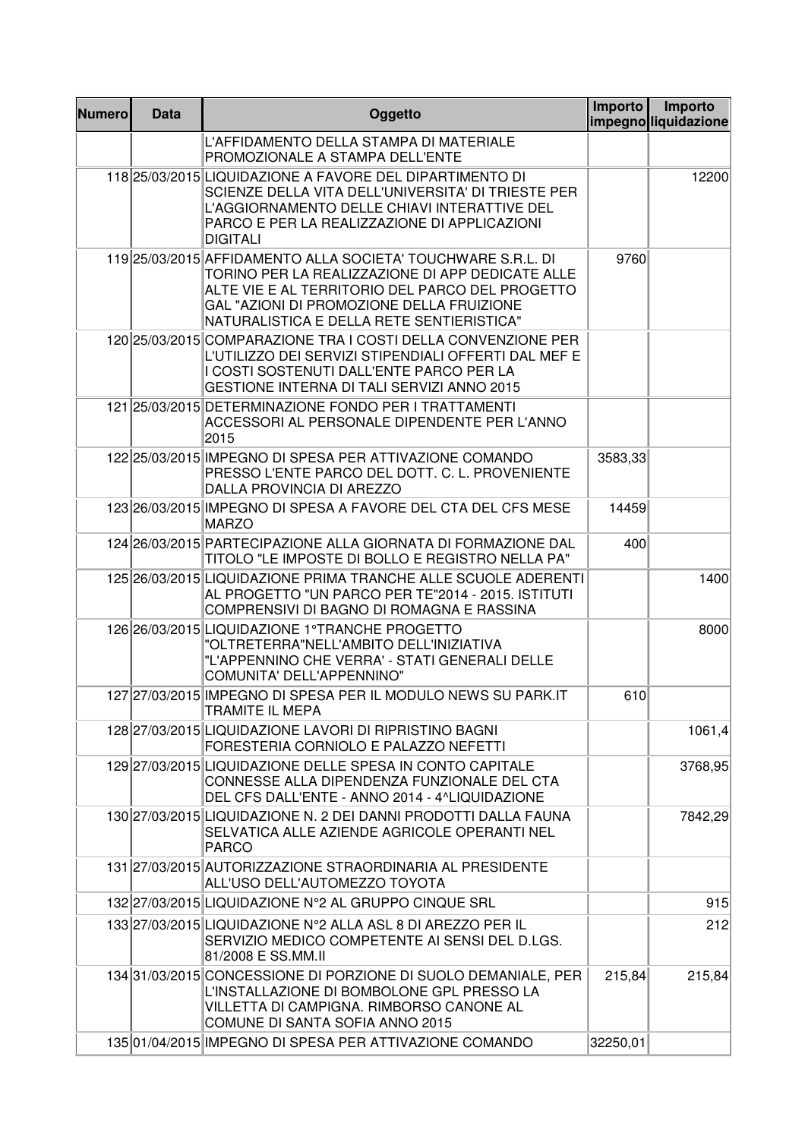| <b>Numero</b> | <b>Data</b> | Oggetto                                                                                                                                                                                                                                                       | Importo  | Importo<br>impegnoliquidazione |
|---------------|-------------|---------------------------------------------------------------------------------------------------------------------------------------------------------------------------------------------------------------------------------------------------------------|----------|--------------------------------|
|               |             | L'AFFIDAMENTO DELLA STAMPA DI MATERIALE<br>PROMOZIONALE A STAMPA DELL'ENTE                                                                                                                                                                                    |          |                                |
|               |             | 118 25/03/2015 LIQUIDAZIONE A FAVORE DEL DIPARTIMENTO DI<br>SCIENZE DELLA VITA DELL'UNIVERSITA' DI TRIESTE PER<br>L'AGGIORNAMENTO DELLE CHIAVI INTERATTIVE DEL<br>PARCO E PER LA REALIZZAZIONE DI APPLICAZIONI<br><b>DIGITALI</b>                             |          | 12200                          |
|               |             | 119 25/03/2015 AFFIDAMENTO ALLA SOCIETA' TOUCHWARE S.R.L. DI<br>TORINO PER LA REALIZZAZIONE DI APP DEDICATE ALLE<br>ALTE VIE E AL TERRITORIO DEL PARCO DEL PROGETTO<br>GAL "AZIONI DI PROMOZIONE DELLA FRUIZIONE<br>NATURALISTICA E DELLA RETE SENTIERISTICA" | 9760     |                                |
|               |             | 120 25/03/2015 COMPARAZIONE TRA I COSTI DELLA CONVENZIONE PER<br>L'UTILIZZO DEI SERVIZI STIPENDIALI OFFERTI DAL MEF E<br>I COSTI SOSTENUTI DALL'ENTE PARCO PER LA<br><b>GESTIONE INTERNA DI TALI SERVIZI ANNO 2015</b>                                        |          |                                |
|               |             | 121 25/03/2015 DETERMINAZIONE FONDO PER I TRATTAMENTI<br>ACCESSORI AL PERSONALE DIPENDENTE PER L'ANNO<br>2015                                                                                                                                                 |          |                                |
|               |             | 122 25/03/2015 IMPEGNO DI SPESA PER ATTIVAZIONE COMANDO<br>PRESSO L'ENTE PARCO DEL DOTT. C. L. PROVENIENTE<br>DALLA PROVINCIA DI AREZZO                                                                                                                       | 3583,33  |                                |
|               |             | 123 26/03/2015 IMPEGNO DI SPESA A FAVORE DEL CTA DEL CFS MESE<br><b>MARZO</b>                                                                                                                                                                                 | 14459    |                                |
|               |             | 124 26/03/2015 PARTECIPAZIONE ALLA GIORNATA DI FORMAZIONE DAL<br>TITOLO "LE IMPOSTE DI BOLLO E REGISTRO NELLA PA"                                                                                                                                             | 400      |                                |
|               |             | 125 26/03/2015 LIQUIDAZIONE PRIMA TRANCHE ALLE SCUOLE ADERENTI<br>AL PROGETTO "UN PARCO PER TE"2014 - 2015. ISTITUTI<br>COMPRENSIVI DI BAGNO DI ROMAGNA E RASSINA                                                                                             |          | 1400                           |
|               |             | 126 26/03/2015 LIQUIDAZIONE 1°TRANCHE PROGETTO<br>"OLTRETERRA"NELL'AMBITO DELL'INIZIATIVA<br>"L'APPENNINO CHE VERRA' - STATI GENERALI DELLE<br>COMUNITA' DELL'APPENNINO"                                                                                      |          | 8000                           |
|               |             | 127 27/03/2015 IMPEGNO DI SPESA PER IL MODULO NEWS SU PARK.IT<br>TRAMITE IL MEPA                                                                                                                                                                              | 610      |                                |
|               |             | 128 27/03/2015 LIQUIDAZIONE LAVORI DI RIPRISTINO BAGNI<br>FORESTERIA CORNIOLO E PALAZZO NEFETTI                                                                                                                                                               |          | 1061,4                         |
|               |             | 129 27/03/2015 LIQUIDAZIONE DELLE SPESA IN CONTO CAPITALE<br>CONNESSE ALLA DIPENDENZA FUNZIONALE DEL CTA<br>DEL CFS DALL'ENTE - ANNO 2014 - 4^LIQUIDAZIONE                                                                                                    |          | 3768,95                        |
|               |             | 130 27/03/2015 LIQUIDAZIONE N. 2 DEI DANNI PRODOTTI DALLA FAUNA<br>SELVATICA ALLE AZIENDE AGRICOLE OPERANTI NEL<br><b>PARCO</b>                                                                                                                               |          | 7842,29                        |
|               |             | 131 27/03/2015 AUTORIZZAZIONE STRAORDINARIA AL PRESIDENTE<br>ALL'USO DELL'AUTOMEZZO TOYOTA                                                                                                                                                                    |          |                                |
|               |             | 132 27/03/2015 LIQUIDAZIONE N°2 AL GRUPPO CINQUE SRL                                                                                                                                                                                                          |          | 915                            |
|               |             | 133 27/03/2015 LIQUIDAZIONE N°2 ALLA ASL 8 DI AREZZO PER IL<br>SERVIZIO MEDICO COMPETENTE AI SENSI DEL D.LGS.<br>81/2008 E SS.MM.II                                                                                                                           |          | 212                            |
|               |             | 134 31/03/2015 CONCESSIONE DI PORZIONE DI SUOLO DEMANIALE, PER<br>L'INSTALLAZIONE DI BOMBOLONE GPL PRESSO LA<br>VILLETTA DI CAMPIGNA. RIMBORSO CANONE AL<br>COMUNE DI SANTA SOFIA ANNO 2015                                                                   | 215,84   | 215,84                         |
|               |             | 135 01/04/2015 IMPEGNO DI SPESA PER ATTIVAZIONE COMANDO                                                                                                                                                                                                       | 32250,01 |                                |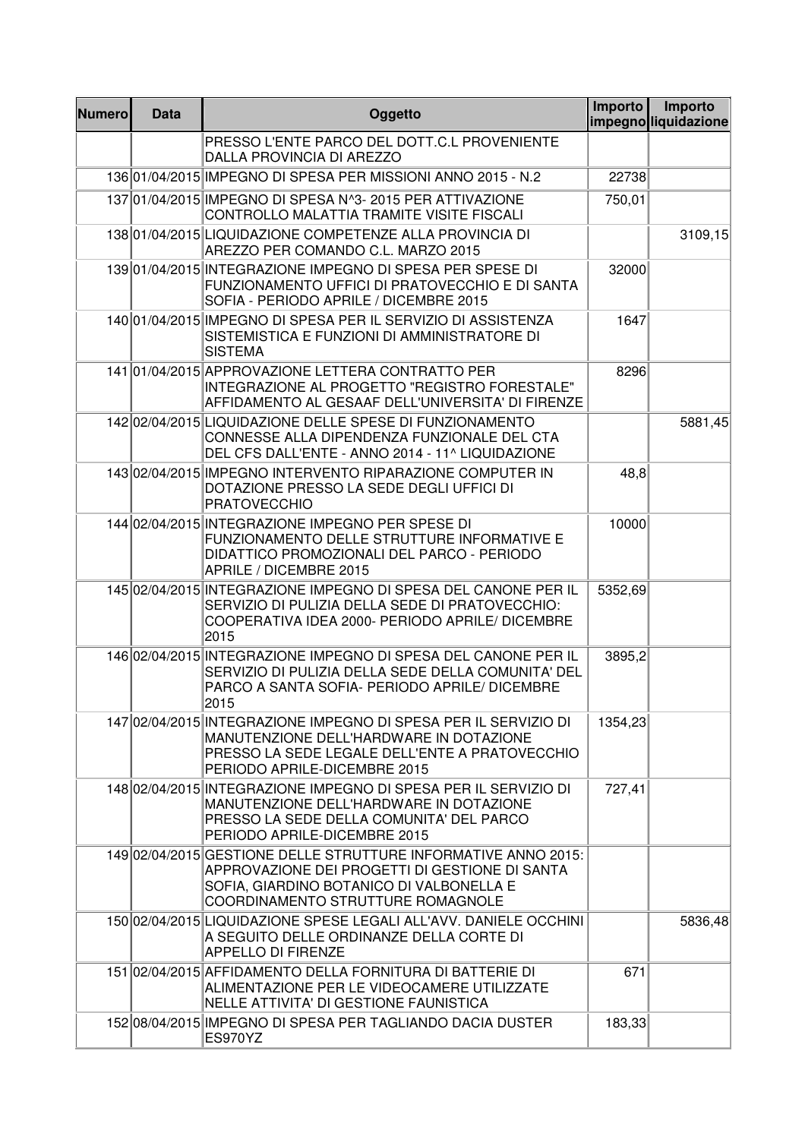| <b>Numero</b> | <b>Data</b> | Oggetto                                                                                                                                                                                           | Importo | Importo<br>impegnoliquidazione |
|---------------|-------------|---------------------------------------------------------------------------------------------------------------------------------------------------------------------------------------------------|---------|--------------------------------|
|               |             | PRESSO L'ENTE PARCO DEL DOTT.C.L PROVENIENTE<br>DALLA PROVINCIA DI AREZZO                                                                                                                         |         |                                |
|               |             | 136 01/04/2015 IMPEGNO DI SPESA PER MISSIONI ANNO 2015 - N.2                                                                                                                                      | 22738   |                                |
|               |             | 137 01/04/2015 IMPEGNO DI SPESA N^3- 2015 PER ATTIVAZIONE<br>CONTROLLO MALATTIA TRAMITE VISITE FISCALI                                                                                            | 750,01  |                                |
|               |             | 13801/04/2015LIQUIDAZIONE COMPETENZE ALLA PROVINCIA DI<br>AREZZO PER COMANDO C.L. MARZO 2015                                                                                                      |         | 3109,15                        |
|               |             | 139 01/04/2015 INTEGRAZIONE IMPEGNO DI SPESA PER SPESE DI<br>FUNZIONAMENTO UFFICI DI PRATOVECCHIO E DI SANTA<br>SOFIA - PERIODO APRILE / DICEMBRE 2015                                            | 32000   |                                |
|               |             | 140 01/04/2015 IMPEGNO DI SPESA PER IL SERVIZIO DI ASSISTENZA<br>SISTEMISTICA E FUNZIONI DI AMMINISTRATORE DI<br><b>SISTEMA</b>                                                                   | 1647    |                                |
|               |             | 141 01/04/2015 APPROVAZIONE LETTERA CONTRATTO PER<br>INTEGRAZIONE AL PROGETTO "REGISTRO FORESTALE"<br>AFFIDAMENTO AL GESAAF DELL'UNIVERSITA' DI FIRENZE                                           | 8296    |                                |
|               |             | 14202/04/2015 LIQUIDAZIONE DELLE SPESE DI FUNZIONAMENTO<br>CONNESSE ALLA DIPENDENZA FUNZIONALE DEL CTA<br>DEL CFS DALL'ENTE - ANNO 2014 - 11^ LIQUIDAZIONE                                        |         | 5881,45                        |
|               |             | 14302/04/2015 IMPEGNO INTERVENTO RIPARAZIONE COMPUTER IN<br>DOTAZIONE PRESSO LA SEDE DEGLI UFFICI DI<br><b>PRATOVECCHIO</b>                                                                       | 48,8    |                                |
|               |             | 144 02/04/2015 INTEGRAZIONE IMPEGNO PER SPESE DI<br>FUNZIONAMENTO DELLE STRUTTURE INFORMATIVE E<br>DIDATTICO PROMOZIONALI DEL PARCO - PERIODO<br>APRILE / DICEMBRE 2015                           | 10000   |                                |
|               |             | 145 02/04/2015 INTEGRAZIONE IMPEGNO DI SPESA DEL CANONE PER IL<br>SERVIZIO DI PULIZIA DELLA SEDE DI PRATOVECCHIO:<br>COOPERATIVA IDEA 2000- PERIODO APRILE/ DICEMBRE<br>2015                      | 5352,69 |                                |
|               |             | 146 02/04/2015 INTEGRAZIONE IMPEGNO DI SPESA DEL CANONE PER IL<br>SERVIZIO DI PULIZIA DELLA SEDE DELLA COMUNITA' DEL<br>PARCO A SANTA SOFIA- PERIODO APRILE/ DICEMBRE<br>2015                     | 3895,2  |                                |
|               |             | 147 02/04/2015 INTEGRAZIONE IMPEGNO DI SPESA PER IL SERVIZIO DI<br>MANUTENZIONE DELL'HARDWARE IN DOTAZIONE<br>PRESSO LA SEDE LEGALE DELL'ENTE A PRATOVECCHIO<br>PERIODO APRILE-DICEMBRE 2015      | 1354,23 |                                |
|               |             | 148 02/04/2015 INTEGRAZIONE IMPEGNO DI SPESA PER IL SERVIZIO DI<br>MANUTENZIONE DELL'HARDWARE IN DOTAZIONE<br>PRESSO LA SEDE DELLA COMUNITA' DEL PARCO<br>PERIODO APRILE-DICEMBRE 2015            | 727,41  |                                |
|               |             | 149 02/04/2015 GESTIONE DELLE STRUTTURE INFORMATIVE ANNO 2015:<br>APPROVAZIONE DEI PROGETTI DI GESTIONE DI SANTA<br>SOFIA, GIARDINO BOTANICO DI VALBONELLA E<br>COORDINAMENTO STRUTTURE ROMAGNOLE |         |                                |
|               |             | 150 02/04/2015 LIQUIDAZIONE SPESE LEGALI ALL'AVV. DANIELE OCCHINI<br>A SEGUITO DELLE ORDINANZE DELLA CORTE DI<br><b>APPELLO DI FIRENZE</b>                                                        |         | 5836,48                        |
|               |             | 151 02/04/2015 AFFIDAMENTO DELLA FORNITURA DI BATTERIE DI<br>ALIMENTAZIONE PER LE VIDEOCAMERE UTILIZZATE<br>NELLE ATTIVITA' DI GESTIONE FAUNISTICA                                                | 671     |                                |
|               |             | 15208/04/2015 IMPEGNO DI SPESA PER TAGLIANDO DACIA DUSTER<br><b>ES970YZ</b>                                                                                                                       | 183,33  |                                |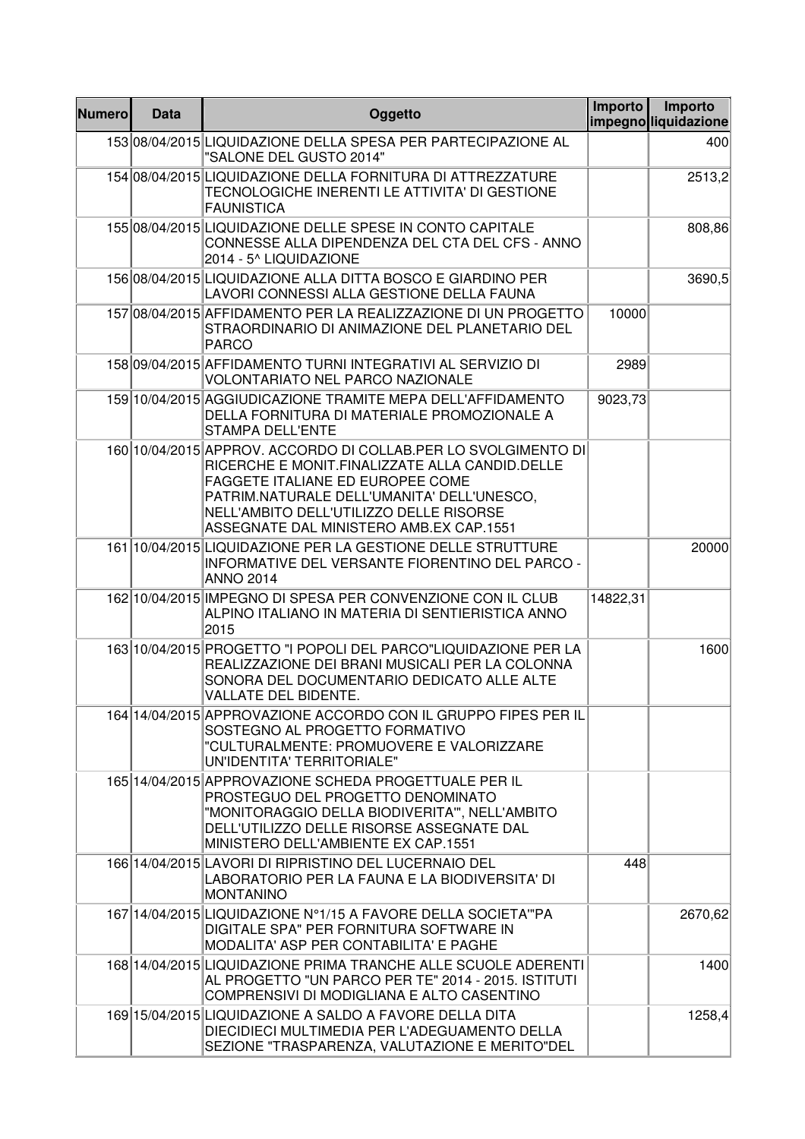| <b>Numero</b> | <b>Data</b> | Oggetto                                                                                                                                                                                                                                                                                  | Importo  | Importo<br>impegnoliquidazione |
|---------------|-------------|------------------------------------------------------------------------------------------------------------------------------------------------------------------------------------------------------------------------------------------------------------------------------------------|----------|--------------------------------|
|               |             | 15308/04/2015 LIQUIDAZIONE DELLA SPESA PER PARTECIPAZIONE AL<br>"SALONE DEL GUSTO 2014"                                                                                                                                                                                                  |          | 400                            |
|               |             | 154 08/04/2015 LIQUIDAZIONE DELLA FORNITURA DI ATTREZZATURE<br>TECNOLOGICHE INERENTI LE ATTIVITA' DI GESTIONE<br><b>FAUNISTICA</b>                                                                                                                                                       |          | 2513,2                         |
|               |             | 155 08/04/2015 LIQUIDAZIONE DELLE SPESE IN CONTO CAPITALE<br>CONNESSE ALLA DIPENDENZA DEL CTA DEL CFS - ANNO<br>2014 - 5^ LIQUIDAZIONE                                                                                                                                                   |          | 808,86                         |
|               |             | 156 08/04/2015 LIQUIDAZIONE ALLA DITTA BOSCO E GIARDINO PER<br>LAVORI CONNESSI ALLA GESTIONE DELLA FAUNA                                                                                                                                                                                 |          | 3690,5                         |
|               |             | 157 08/04/2015 AFFIDAMENTO PER LA REALIZZAZIONE DI UN PROGETTO<br>STRAORDINARIO DI ANIMAZIONE DEL PLANETARIO DEL<br><b>PARCO</b>                                                                                                                                                         | 10000    |                                |
|               |             | 158 09/04/2015 AFFIDAMENTO TURNI INTEGRATIVI AL SERVIZIO DI<br><b>VOLONTARIATO NEL PARCO NAZIONALE</b>                                                                                                                                                                                   | 2989     |                                |
|               |             | 159 10/04/2015 AGGIUDICAZIONE TRAMITE MEPA DELL'AFFIDAMENTO<br>DELLA FORNITURA DI MATERIALE PROMOZIONALE A<br><b>STAMPA DELL'ENTE</b>                                                                                                                                                    | 9023,73  |                                |
|               |             | 160 10/04/2015 APPROV. ACCORDO DI COLLAB.PER LO SVOLGIMENTO DI<br>RICERCHE E MONIT.FINALIZZATE ALLA CANDID.DELLE<br>FAGGETE ITALIANE ED EUROPEE COME<br>PATRIM.NATURALE DELL'UMANITA' DELL'UNESCO,<br>NELL'AMBITO DELL'UTILIZZO DELLE RISORSE<br>ASSEGNATE DAL MINISTERO AMB.EX CAP.1551 |          |                                |
|               |             | 161 10/04/2015 LIQUIDAZIONE PER LA GESTIONE DELLE STRUTTURE<br>INFORMATIVE DEL VERSANTE FIORENTINO DEL PARCO -<br><b>ANNO 2014</b>                                                                                                                                                       |          | 20000                          |
|               |             | 162 10/04/2015 IMPEGNO DI SPESA PER CONVENZIONE CON IL CLUB<br>ALPINO ITALIANO IN MATERIA DI SENTIERISTICA ANNO<br>2015                                                                                                                                                                  | 14822,31 |                                |
|               |             | 163 10/04/2015 PROGETTO "I POPOLI DEL PARCO"LIQUIDAZIONE PER LA<br>REALIZZAZIONE DEI BRANI MUSICALI PER LA COLONNA<br>SONORA DEL DOCUMENTARIO DEDICATO ALLE ALTE<br>VALLATE DEL BIDENTE.                                                                                                 |          | 1600                           |
|               |             | 164 14/04/2015 APPROVAZIONE ACCORDO CON IL GRUPPO FIPES PER IL<br>SOSTEGNO AL PROGETTO FORMATIVO<br>"CULTURALMENTE: PROMUOVERE E VALORIZZARE<br>UN'IDENTITA' TERRITORIALE"                                                                                                               |          |                                |
|               |             | 165 14/04/2015 APPROVAZIONE SCHEDA PROGETTUALE PER IL<br>PROSTEGUO DEL PROGETTO DENOMINATO<br>"MONITORAGGIO DELLA BIODIVERITA"", NELL'AMBITO<br>DELL'UTILIZZO DELLE RISORSE ASSEGNATE DAL<br>MINISTERO DELL'AMBIENTE EX CAP.1551                                                         |          |                                |
|               |             | 166 14/04/2015 LAVORI DI RIPRISTINO DEL LUCERNAIO DEL<br>LABORATORIO PER LA FAUNA E LA BIODIVERSITA' DI<br><b>MONTANINO</b>                                                                                                                                                              | 448      |                                |
|               |             | 167 14/04/2015 LIQUIDAZIONE N°1/15 A FAVORE DELLA SOCIETA "PA<br>DIGITALE SPA" PER FORNITURA SOFTWARE IN<br>MODALITA' ASP PER CONTABILITA' E PAGHE                                                                                                                                       |          | 2670,62                        |
|               |             | 168 14/04/2015 LIQUIDAZIONE PRIMA TRANCHE ALLE SCUOLE ADERENTI<br>AL PROGETTO "UN PARCO PER TE" 2014 - 2015. ISTITUTI<br>COMPRENSIVI DI MODIGLIANA E ALTO CASENTINO                                                                                                                      |          | 1400                           |
|               |             | 169 15/04/2015 LIQUIDAZIONE A SALDO A FAVORE DELLA DITA<br>DIECIDIECI MULTIMEDIA PER L'ADEGUAMENTO DELLA<br>SEZIONE "TRASPARENZA, VALUTAZIONE E MERITO"DEL                                                                                                                               |          | 1258,4                         |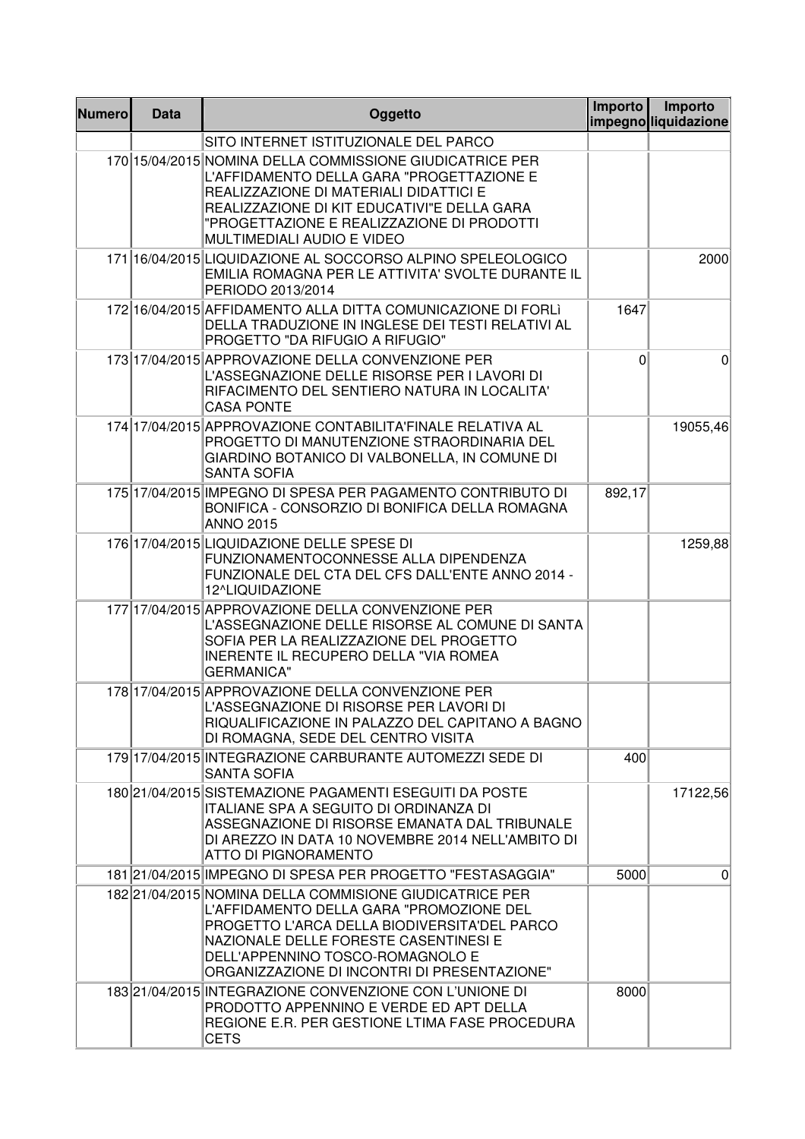| <b>Numero</b> | <b>Data</b> | Oggetto                                                                                                                                                                                                                                                                         | Importo | Importo<br>impegnoliguidazione |
|---------------|-------------|---------------------------------------------------------------------------------------------------------------------------------------------------------------------------------------------------------------------------------------------------------------------------------|---------|--------------------------------|
|               |             | SITO INTERNET ISTITUZIONALE DEL PARCO                                                                                                                                                                                                                                           |         |                                |
|               |             | 170 15/04/2015 NOMINA DELLA COMMISSIONE GIUDICATRICE PER<br>L'AFFIDAMENTO DELLA GARA "PROGETTAZIONE E<br>REALIZZAZIONE DI MATERIALI DIDATTICI E<br>REALIZZAZIONE DI KIT EDUCATIVI"E DELLA GARA<br>"PROGETTAZIONE E REALIZZAZIONE DI PRODOTTI<br>MULTIMEDIALI AUDIO E VIDEO      |         |                                |
|               |             | 171 16/04/2015 LIQUIDAZIONE AL SOCCORSO ALPINO SPELEOLOGICO<br>EMILIA ROMAGNA PER LE ATTIVITA' SVOLTE DURANTE IL<br>PERIODO 2013/2014                                                                                                                                           |         | 2000                           |
|               |             | 172 16/04/2015 AFFIDAMENTO ALLA DITTA COMUNICAZIONE DI FORLI<br>DELLA TRADUZIONE IN INGLESE DEI TESTI RELATIVI AL<br>PROGETTO "DA RIFUGIO A RIFUGIO"                                                                                                                            | 1647    |                                |
|               |             | 173 17/04/2015 APPROVAZIONE DELLA CONVENZIONE PER<br>L'ASSEGNAZIONE DELLE RISORSE PER I LAVORI DI<br>RIFACIMENTO DEL SENTIERO NATURA IN LOCALITA'<br><b>CASA PONTE</b>                                                                                                          | 0       | $\Omega$                       |
|               |             | 174 17/04/2015 APPROVAZIONE CONTABILITA'FINALE RELATIVA AL<br>PROGETTO DI MANUTENZIONE STRAORDINARIA DEL<br>GIARDINO BOTANICO DI VALBONELLA, IN COMUNE DI<br><b>SANTA SOFIA</b>                                                                                                 |         | 19055,46                       |
|               |             | 175 17/04/2015 IMPEGNO DI SPESA PER PAGAMENTO CONTRIBUTO DI<br>BONIFICA - CONSORZIO DI BONIFICA DELLA ROMAGNA<br><b>ANNO 2015</b>                                                                                                                                               | 892,17  |                                |
|               |             | 176 17/04/2015 LIQUIDAZIONE DELLE SPESE DI<br>FUNZIONAMENTOCONNESSE ALLA DIPENDENZA<br>FUNZIONALE DEL CTA DEL CFS DALL'ENTE ANNO 2014 -<br>12^LIQUIDAZIONE                                                                                                                      |         | 1259,88                        |
|               |             | 177 17/04/2015 APPROVAZIONE DELLA CONVENZIONE PER<br>L'ASSEGNAZIONE DELLE RISORSE AL COMUNE DI SANTA<br>SOFIA PER LA REALIZZAZIONE DEL PROGETTO<br><b>INERENTE IL RECUPERO DELLA "VIA ROMEA</b><br><b>GERMANICA"</b>                                                            |         |                                |
|               |             | 178 17/04/2015 APPROVAZIONE DELLA CONVENZIONE PER<br>L'ASSEGNAZIONE DI RISORSE PER LAVORI DI<br>RIQUALIFICAZIONE IN PALAZZO DEL CAPITANO A BAGNO<br>DI ROMAGNA, SEDE DEL CENTRO VISITA                                                                                          |         |                                |
|               |             | 179 17/04/2015 INTEGRAZIONE CARBURANTE AUTOMEZZI SEDE DI<br>SANTA SOFIA                                                                                                                                                                                                         | 400     |                                |
|               |             | 180 21/04/2015 SISTEMAZIONE PAGAMENTI ESEGUITI DA POSTE<br>ITALIANE SPA A SEGUITO DI ORDINANZA DI<br>ASSEGNAZIONE DI RISORSE EMANATA DAL TRIBUNALE<br>DI AREZZO IN DATA 10 NOVEMBRE 2014 NELL'AMBITO DI<br>ATTO DI PIGNORAMENTO                                                 |         | 17122,56                       |
|               |             | 181 21/04/2015 IMPEGNO DI SPESA PER PROGETTO "FESTASAGGIA"                                                                                                                                                                                                                      | 5000    | $\overline{0}$                 |
|               |             | 18221/04/2015 NOMINA DELLA COMMISIONE GIUDICATRICE PER<br>L'AFFIDAMENTO DELLA GARA "PROMOZIONE DEL<br>PROGETTO L'ARCA DELLA BIODIVERSITA'DEL PARCO<br>NAZIONALE DELLE FORESTE CASENTINESI E<br>DELL'APPENNINO TOSCO-ROMAGNOLO E<br>ORGANIZZAZIONE DI INCONTRI DI PRESENTAZIONE" |         |                                |
|               |             | 183 21/04/2015 INTEGRAZIONE CONVENZIONE CON L'UNIONE DI<br>PRODOTTO APPENNINO E VERDE ED APT DELLA<br>REGIONE E.R. PER GESTIONE LTIMA FASE PROCEDURA<br><b>CETS</b>                                                                                                             | 8000    |                                |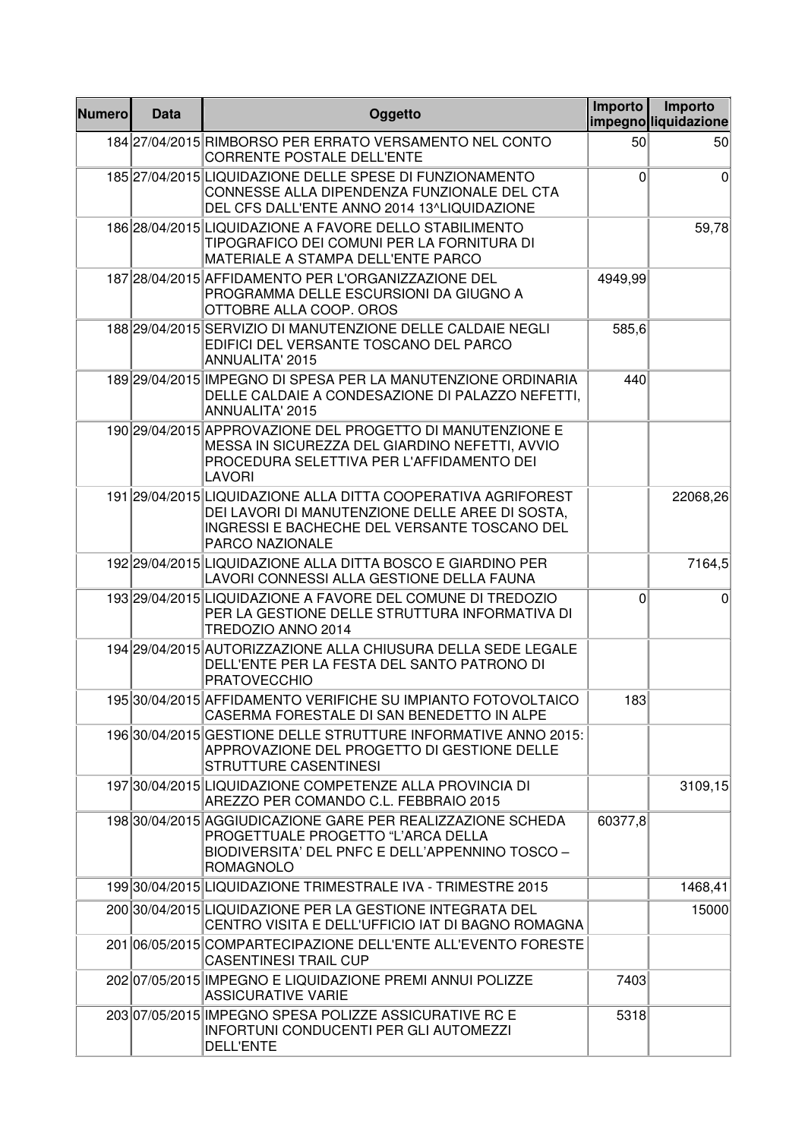| <b>Numero</b> | <b>Data</b> | Oggetto                                                                                                                                                                             | Importo | Importo<br>impegnoliquidazione |
|---------------|-------------|-------------------------------------------------------------------------------------------------------------------------------------------------------------------------------------|---------|--------------------------------|
|               |             | 184 27/04/2015 RIMBORSO PER ERRATO VERSAMENTO NEL CONTO<br><b>CORRENTE POSTALE DELL'ENTE</b>                                                                                        | 50      | 50                             |
|               |             | 185 27/04/2015 LIQUIDAZIONE DELLE SPESE DI FUNZIONAMENTO<br>CONNESSE ALLA DIPENDENZA FUNZIONALE DEL CTA<br>DEL CFS DALL'ENTE ANNO 2014 13^LIQUIDAZIONE                              | 0       | $\overline{0}$                 |
|               |             | 186 28/04/2015 LIQUIDAZIONE A FAVORE DELLO STABILIMENTO<br>TIPOGRAFICO DEI COMUNI PER LA FORNITURA DI<br>MATERIALE A STAMPA DELL'ENTE PARCO                                         |         | 59,78                          |
|               |             | 187 28/04/2015 AFFIDAMENTO PER L'ORGANIZZAZIONE DEL<br>PROGRAMMA DELLE ESCURSIONI DA GIUGNO A<br>OTTOBRE ALLA COOP. OROS                                                            | 4949,99 |                                |
|               |             | 188 29/04/2015 SERVIZIO DI MANUTENZIONE DELLE CALDAIE NEGLI<br>EDIFICI DEL VERSANTE TOSCANO DEL PARCO<br>ANNUALITA' 2015                                                            | 585,6   |                                |
|               |             | 189 29/04/2015 IMPEGNO DI SPESA PER LA MANUTENZIONE ORDINARIA<br>DELLE CALDAIE A CONDESAZIONE DI PALAZZO NEFETTI,<br>ANNUALITA' 2015                                                | 440     |                                |
|               |             | 190 29/04/2015 APPROVAZIONE DEL PROGETTO DI MANUTENZIONE E<br>MESSA IN SICUREZZA DEL GIARDINO NEFETTI, AVVIO<br>PROCEDURA SELETTIVA PER L'AFFIDAMENTO DEI<br><b>LAVORI</b>          |         |                                |
|               |             | 191 29/04/2015 LIQUIDAZIONE ALLA DITTA COOPERATIVA AGRIFOREST<br>DEI LAVORI DI MANUTENZIONE DELLE AREE DI SOSTA,<br>INGRESSI E BACHECHE DEL VERSANTE TOSCANO DEL<br>PARCO NAZIONALE |         | 22068,26                       |
|               |             | 192 29/04/2015 LIQUIDAZIONE ALLA DITTA BOSCO E GIARDINO PER<br>LAVORI CONNESSI ALLA GESTIONE DELLA FAUNA                                                                            |         | 7164,5                         |
|               |             | 193 29/04/2015 LIQUIDAZIONE A FAVORE DEL COMUNE DI TREDOZIO<br>PER LA GESTIONE DELLE STRUTTURA INFORMATIVA DI<br>TREDOZIO ANNO 2014                                                 | 0       | $\overline{0}$                 |
|               |             | 194 29/04/2015 AUTORIZZAZIONE ALLA CHIUSURA DELLA SEDE LEGALE<br>DELL'ENTE PER LA FESTA DEL SANTO PATRONO DI<br><b>PRATOVECCHIO</b>                                                 |         |                                |
|               |             | 195 30/04/2015 AFFIDAMENTO VERIFICHE SU IMPIANTO FOTOVOLTAICO<br>CASERMA FORESTALE DI SAN BENEDETTO IN ALPE                                                                         | 183     |                                |
|               |             | 196 30/04/2015 GESTIONE DELLE STRUTTURE INFORMATIVE ANNO 2015:<br>APPROVAZIONE DEL PROGETTO DI GESTIONE DELLE<br>STRUTTURE CASENTINESI                                              |         |                                |
|               |             | 19730/04/2015 LIQUIDAZIONE COMPETENZE ALLA PROVINCIA DI<br>AREZZO PER COMANDO C.L. FEBBRAIO 2015                                                                                    |         | 3109, 15                       |
|               |             | 198 30/04/2015 AGGIUDICAZIONE GARE PER REALIZZAZIONE SCHEDA<br>PROGETTUALE PROGETTO "L'ARCA DELLA<br>BIODIVERSITA' DEL PNFC E DELL'APPENNINO TOSCO -<br>ROMAGNOLO                   | 60377,8 |                                |
|               |             | 19930/04/2015 LIQUIDAZIONE TRIMESTRALE IVA - TRIMESTRE 2015                                                                                                                         |         | 1468,41                        |
|               |             | 200 30/04/2015 LIQUIDAZIONE PER LA GESTIONE INTEGRATA DEL<br>CENTRO VISITA E DELL'UFFICIO IAT DI BAGNO ROMAGNA                                                                      |         | 15000                          |
|               |             | 201 06/05/2015 COMPARTECIPAZIONE DELL'ENTE ALL'EVENTO FORESTE<br><b>CASENTINESI TRAIL CUP</b>                                                                                       |         |                                |
|               |             | 20207/05/2015 IMPEGNO E LIQUIDAZIONE PREMI ANNUI POLIZZE<br><b>ASSICURATIVE VARIE</b>                                                                                               | 7403    |                                |
|               |             | 203 07/05/2015 IMPEGNO SPESA POLIZZE ASSICURATIVE RC E<br>INFORTUNI CONDUCENTI PER GLI AUTOMEZZI<br><b>DELL'ENTE</b>                                                                | 5318    |                                |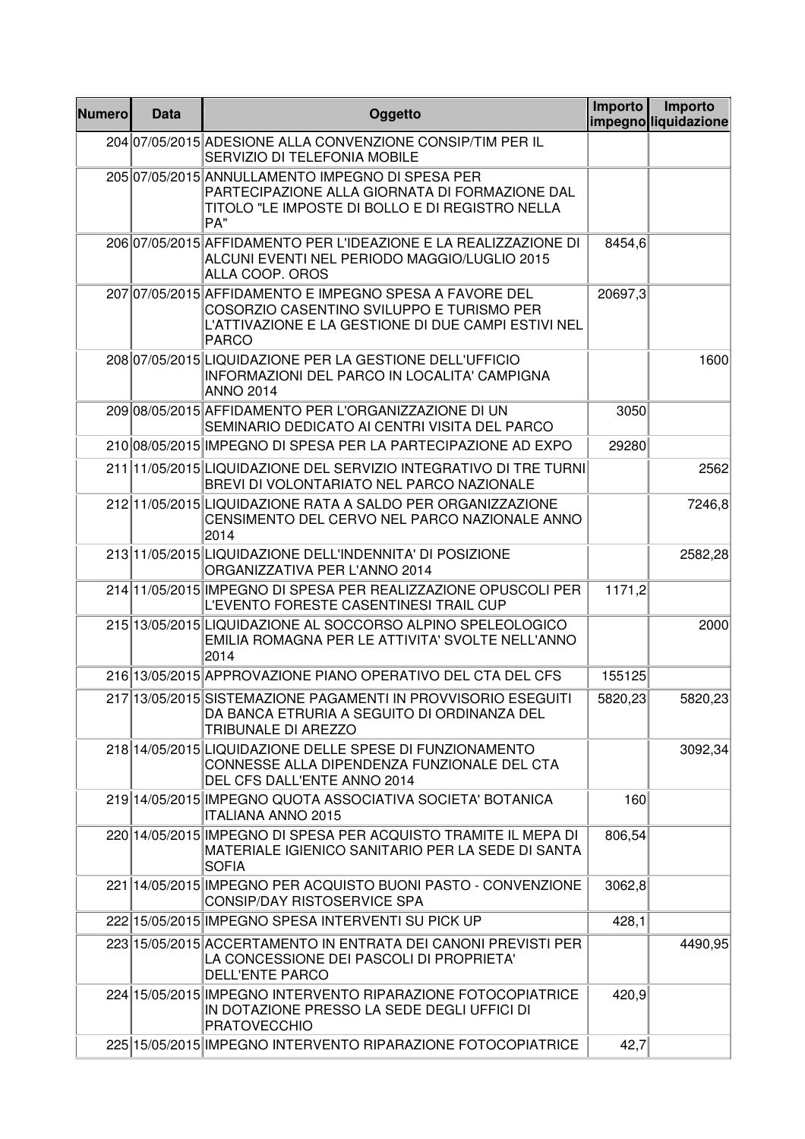| <b>Numero</b> | <b>Data</b> | Oggetto                                                                                                                                                                     | Importo | Importo<br>impegno liquidazione |
|---------------|-------------|-----------------------------------------------------------------------------------------------------------------------------------------------------------------------------|---------|---------------------------------|
|               |             | 204 07/05/2015 ADESIONE ALLA CONVENZIONE CONSIP/TIM PER IL<br>SERVIZIO DI TELEFONIA MOBILE                                                                                  |         |                                 |
|               |             | 205 07/05/2015 ANNULLAMENTO IMPEGNO DI SPESA PER<br>PARTECIPAZIONE ALLA GIORNATA DI FORMAZIONE DAL<br>TITOLO "LE IMPOSTE DI BOLLO E DI REGISTRO NELLA<br>PA"                |         |                                 |
|               |             | 206 07/05/2015 AFFIDAMENTO PER L'IDEAZIONE E LA REALIZZAZIONE DI<br>ALCUNI EVENTI NEL PERIODO MAGGIO/LUGLIO 2015<br>ALLA COOP. OROS                                         | 8454,6  |                                 |
|               |             | 207 07/05/2015 AFFIDAMENTO E IMPEGNO SPESA A FAVORE DEL<br>COSORZIO CASENTINO SVILUPPO E TURISMO PER<br>L'ATTIVAZIONE E LA GESTIONE DI DUE CAMPI ESTIVI NEL<br><b>PARCO</b> | 20697,3 |                                 |
|               |             | 208 07/05/2015 LIQUIDAZIONE PER LA GESTIONE DELL'UFFICIO<br><b>INFORMAZIONI DEL PARCO IN LOCALITA' CAMPIGNA</b><br><b>ANNO 2014</b>                                         |         | 1600                            |
|               |             | 209 08/05/2015 AFFIDAMENTO PER L'ORGANIZZAZIONE DI UN<br>SEMINARIO DEDICATO AI CENTRI VISITA DEL PARCO                                                                      | 3050    |                                 |
|               |             | 21008/05/2015 IMPEGNO DI SPESA PER LA PARTECIPAZIONE AD EXPO                                                                                                                | 29280   |                                 |
|               |             | 211 1/05/2015 LIQUIDAZIONE DEL SERVIZIO INTEGRATIVO DI TRE TURNI<br>BREVI DI VOLONTARIATO NEL PARCO NAZIONALE                                                               |         | 2562                            |
|               |             | 212 11/05/2015 LIQUIDAZIONE RATA A SALDO PER ORGANIZZAZIONE<br>CENSIMENTO DEL CERVO NEL PARCO NAZIONALE ANNO<br>2014                                                        |         | 7246,8                          |
|               |             | 213 11/05/2015 LIQUIDAZIONE DELL'INDENNITA' DI POSIZIONE<br>ORGANIZZATIVA PER L'ANNO 2014                                                                                   |         | 2582,28                         |
|               |             | 214 1/05/2015 IMPEGNO DI SPESA PER REALIZZAZIONE OPUSCOLI PER<br>L'EVENTO FORESTE CASENTINESI TRAIL CUP                                                                     | 1171,2  |                                 |
|               |             | 215 13/05/2015 LIQUIDAZIONE AL SOCCORSO ALPINO SPELEOLOGICO<br>EMILIA ROMAGNA PER LE ATTIVITA' SVOLTE NELL'ANNO<br>2014                                                     |         | 2000                            |
|               |             | 216 13/05/2015 APPROVAZIONE PIANO OPERATIVO DEL CTA DEL CFS                                                                                                                 | 155125  |                                 |
|               |             | 217 13/05/2015 SISTEMAZIONE PAGAMENTI IN PROVVISORIO ESEGUITI<br>DA BANCA ETRURIA A SEGUITO DI ORDINANZA DEL<br>TRIBUNALE DI AREZZO                                         | 5820,23 | 5820,23                         |
|               |             | 218 14/05/2015 LIQUIDAZIONE DELLE SPESE DI FUNZIONAMENTO<br>CONNESSE ALLA DIPENDENZA FUNZIONALE DEL CTA<br>DEL CFS DALL'ENTE ANNO 2014                                      |         | 3092,34                         |
|               |             | 219 14/05/2015 IMPEGNO QUOTA ASSOCIATIVA SOCIETA' BOTANICA<br><b>ITALIANA ANNO 2015</b>                                                                                     | 160     |                                 |
|               |             | 220 14/05/2015 IMPEGNO DI SPESA PER ACQUISTO TRAMITE IL MEPA DI<br>MATERIALE IGIENICO SANITARIO PER LA SEDE DI SANTA<br><b>SOFIA</b>                                        | 806,54  |                                 |
|               |             | 221 14/05/2015 IMPEGNO PER ACQUISTO BUONI PASTO - CONVENZIONE<br>CONSIP/DAY RISTOSERVICE SPA                                                                                | 3062,8  |                                 |
|               |             | 222 15/05/2015 IMPEGNO SPESA INTERVENTI SU PICK UP                                                                                                                          | 428,1   |                                 |
|               |             | 223 15/05/2015 ACCERTAMENTO IN ENTRATA DEI CANONI PREVISTI PER<br>LA CONCESSIONE DEI PASCOLI DI PROPRIETA'<br><b>DELL'ENTE PARCO</b>                                        |         | 4490,95                         |
|               |             | 224 15/05/2015 IMPEGNO INTERVENTO RIPARAZIONE FOTOCOPIATRICE<br>IN DOTAZIONE PRESSO LA SEDE DEGLI UFFICI DI<br><b>PRATOVECCHIO</b>                                          | 420,9   |                                 |
|               |             | 225 15/05/2015 IMPEGNO INTERVENTO RIPARAZIONE FOTOCOPIATRICE                                                                                                                | 42,7    |                                 |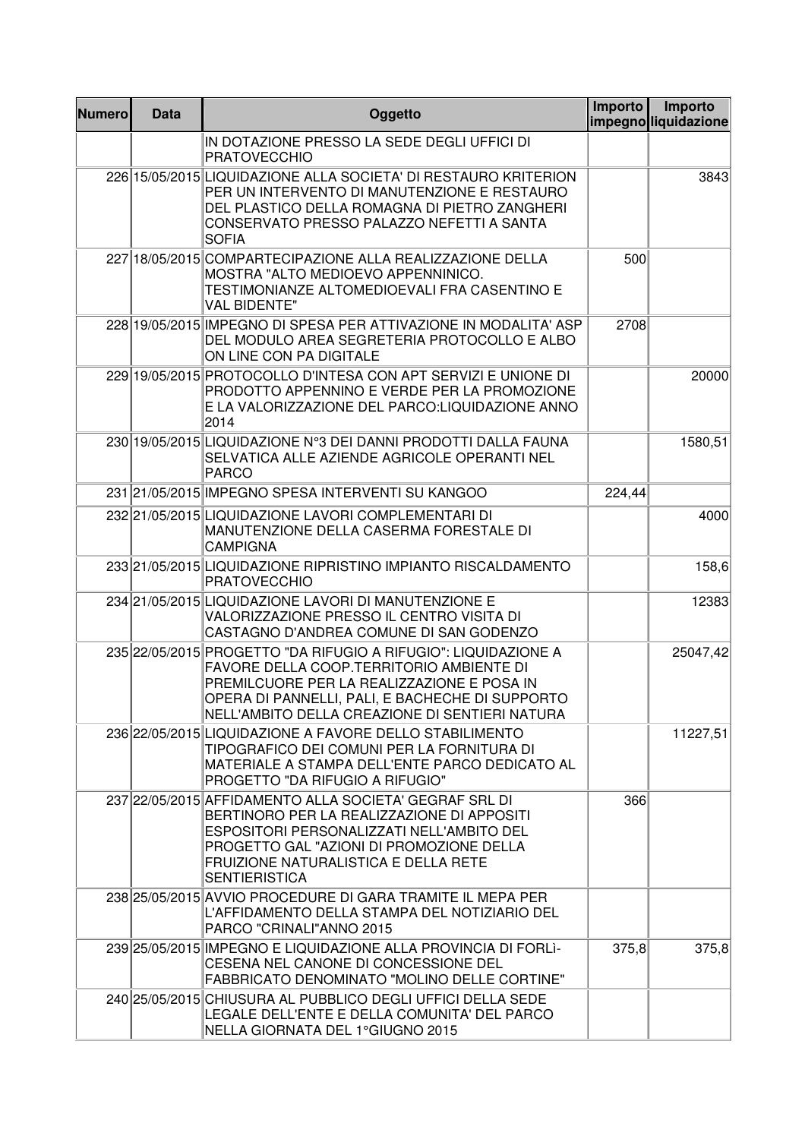| <b>Numero</b> | <b>Data</b> | Oggetto                                                                                                                                                                                                                                                       | <b>Importo</b> | Importo<br>impegnoliquidazione |
|---------------|-------------|---------------------------------------------------------------------------------------------------------------------------------------------------------------------------------------------------------------------------------------------------------------|----------------|--------------------------------|
|               |             | IN DOTAZIONE PRESSO LA SEDE DEGLI UFFICI DI<br><b>PRATOVECCHIO</b>                                                                                                                                                                                            |                |                                |
|               |             | 226 15/05/2015 LIQUIDAZIONE ALLA SOCIETA' DI RESTAURO KRITERION<br>PER UN INTERVENTO DI MANUTENZIONE E RESTAURO<br>DEL PLASTICO DELLA ROMAGNA DI PIETRO ZANGHERI<br>CONSERVATO PRESSO PALAZZO NEFETTI A SANTA<br><b>SOFIA</b>                                 |                | 3843                           |
|               |             | 227 18/05/2015 COMPARTECIPAZIONE ALLA REALIZZAZIONE DELLA<br>MOSTRA "ALTO MEDIOEVO APPENNINICO.<br>TESTIMONIANZE ALTOMEDIOEVALI FRA CASENTINO E<br><b>VAL BIDENTE"</b>                                                                                        | 500            |                                |
|               |             | 228 19/05/2015 IMPEGNO DI SPESA PER ATTIVAZIONE IN MODALITA' ASP<br>DEL MODULO AREA SEGRETERIA PROTOCOLLO E ALBO<br>ON LINE CON PA DIGITALE                                                                                                                   | 2708           |                                |
|               |             | 229 19/05/2015 PROTOCOLLO D'INTESA CON APT SERVIZI E UNIONE DI<br>PRODOTTO APPENNINO E VERDE PER LA PROMOZIONE<br>E LA VALORIZZAZIONE DEL PARCO:LIQUIDAZIONE ANNO<br>2014                                                                                     |                | 20000                          |
|               |             | 230 19/05/2015 LIQUIDAZIONE Nº3 DEI DANNI PRODOTTI DALLA FAUNA<br>SELVATICA ALLE AZIENDE AGRICOLE OPERANTI NEL<br><b>PARCO</b>                                                                                                                                |                | 1580,51                        |
|               |             | 231 21/05/2015 IMPEGNO SPESA INTERVENTI SU KANGOO                                                                                                                                                                                                             | 224,44         |                                |
|               |             | 232 21/05/2015 LIQUIDAZIONE LAVORI COMPLEMENTARI DI<br>MANUTENZIONE DELLA CASERMA FORESTALE DI<br><b>CAMPIGNA</b>                                                                                                                                             |                | 4000                           |
|               |             | 233 21/05/2015 LIQUIDAZIONE RIPRISTINO IMPIANTO RISCALDAMENTO<br><b>PRATOVECCHIO</b>                                                                                                                                                                          |                | 158,6                          |
|               |             | 234 21/05/2015 LIQUIDAZIONE LAVORI DI MANUTENZIONE E<br>VALORIZZAZIONE PRESSO IL CENTRO VISITA DI<br>CASTAGNO D'ANDREA COMUNE DI SAN GODENZO                                                                                                                  |                | 12383                          |
|               |             | 235 22/05/2015 PROGETTO "DA RIFUGIO A RIFUGIO": LIQUIDAZIONE A<br>FAVORE DELLA COOP.TERRITORIO AMBIENTE DI<br>PREMILCUORE PER LA REALIZZAZIONE E POSA IN<br>OPERA DI PANNELLI, PALI, E BACHECHE DI SUPPORTO<br>NELL'AMBITO DELLA CREAZIONE DI SENTIERI NATURA |                | 25047,42                       |
|               |             | 236 22/05/2015 LIQUIDAZIONE A FAVORE DELLO STABILIMENTO<br>TIPOGRAFICO DEI COMUNI PER LA FORNITURA DI<br>MATERIALE A STAMPA DELL'ENTE PARCO DEDICATO AL<br>PROGETTO "DA RIFUGIO A RIFUGIO"                                                                    |                | 11227,51                       |
|               |             | 237 22/05/2015 AFFIDAMENTO ALLA SOCIETA' GEGRAF SRL DI<br>BERTINORO PER LA REALIZZAZIONE DI APPOSITI<br>ESPOSITORI PERSONALIZZATI NELL'AMBITO DEL<br>PROGETTO GAL "AZIONI DI PROMOZIONE DELLA<br>FRUIZIONE NATURALISTICA E DELLA RETE<br><b>SENTIERISTICA</b> | 366            |                                |
|               |             | 238 25/05/2015 AVVIO PROCEDURE DI GARA TRAMITE IL MEPA PER<br>L'AFFIDAMENTO DELLA STAMPA DEL NOTIZIARIO DEL<br>PARCO "CRINALI"ANNO 2015                                                                                                                       |                |                                |
|               |             | 239 25/05/2015 IMPEGNO E LIQUIDAZIONE ALLA PROVINCIA DI FORLI-<br>CESENA NEL CANONE DI CONCESSIONE DEL<br><b>FABBRICATO DENOMINATO "MOLINO DELLE CORTINE"</b>                                                                                                 | 375,8          | 375,8                          |
|               |             | 240 25/05/2015 CHIUSURA AL PUBBLICO DEGLI UFFICI DELLA SEDE<br>LEGALE DELL'ENTE E DELLA COMUNITA' DEL PARCO<br>NELLA GIORNATA DEL 1°GIUGNO 2015                                                                                                               |                |                                |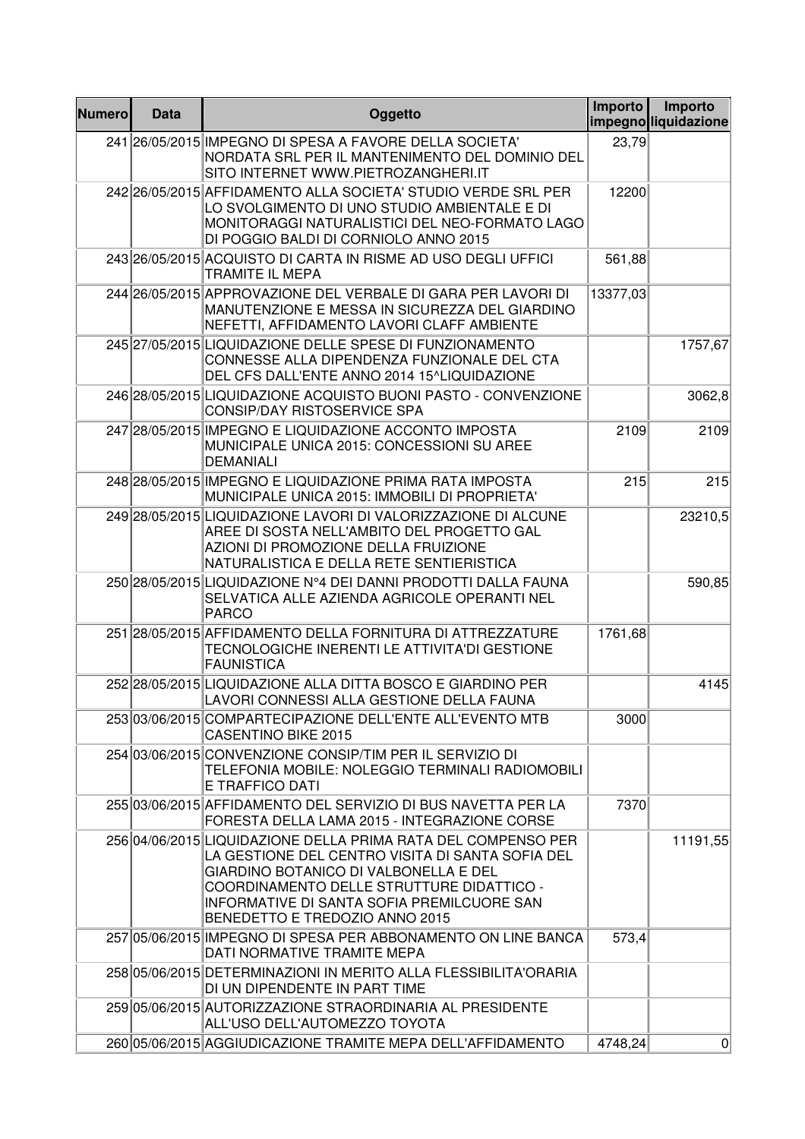| <b>Numero</b> | <b>Data</b> | Oggetto                                                                                                                                                                                                                                                                                 | Importo  | Importo<br>impegnoliquidazione |
|---------------|-------------|-----------------------------------------------------------------------------------------------------------------------------------------------------------------------------------------------------------------------------------------------------------------------------------------|----------|--------------------------------|
|               |             | 241 26/05/2015 IMPEGNO DI SPESA A FAVORE DELLA SOCIETA'<br>NORDATA SRL PER IL MANTENIMENTO DEL DOMINIO DEL<br>SITO INTERNET WWW.PIETROZANGHERI.IT                                                                                                                                       | 23,79    |                                |
|               |             | 242 26/05/2015 AFFIDAMENTO ALLA SOCIETA' STUDIO VERDE SRL PER<br>LO SVOLGIMENTO DI UNO STUDIO AMBIENTALE E DI<br>MONITORAGGI NATURALISTICI DEL NEO-FORMATO LAGO<br>DI POGGIO BALDI DI CORNIOLO ANNO 2015                                                                                | 12200    |                                |
|               |             | 243 26/05/2015 ACQUISTO DI CARTA IN RISME AD USO DEGLI UFFICI<br>TRAMITE IL MEPA                                                                                                                                                                                                        | 561,88   |                                |
|               |             | 244 26/05/2015 APPROVAZIONE DEL VERBALE DI GARA PER LAVORI DI<br>MANUTENZIONE E MESSA IN SICUREZZA DEL GIARDINO<br>NEFETTI, AFFIDAMENTO LAVORI CLAFF AMBIENTE                                                                                                                           | 13377,03 |                                |
|               |             | 245 27/05/2015 LIQUIDAZIONE DELLE SPESE DI FUNZIONAMENTO<br>CONNESSE ALLA DIPENDENZA FUNZIONALE DEL CTA<br>DEL CFS DALL'ENTE ANNO 2014 15^LIQUIDAZIONE                                                                                                                                  |          | 1757,67                        |
|               |             | 246 28/05/2015 LIQUIDAZIONE ACQUISTO BUONI PASTO - CONVENZIONE<br><b>CONSIP/DAY RISTOSERVICE SPA</b>                                                                                                                                                                                    |          | 3062,8                         |
|               |             | 247 28/05/2015 IMPEGNO E LIQUIDAZIONE ACCONTO IMPOSTA<br>MUNICIPALE UNICA 2015: CONCESSIONI SU AREE<br><b>DEMANIALI</b>                                                                                                                                                                 | 2109     | 2109                           |
|               |             | 248 28/05/2015 IMPEGNO E LIQUIDAZIONE PRIMA RATA IMPOSTA<br>MUNICIPALE UNICA 2015: IMMOBILI DI PROPRIETA'                                                                                                                                                                               | 215      | 215                            |
|               |             | 249 28/05/2015 LIQUIDAZIONE LAVORI DI VALORIZZAZIONE DI ALCUNE<br>AREE DI SOSTA NELL'AMBITO DEL PROGETTO GAL<br>AZIONI DI PROMOZIONE DELLA FRUIZIONE<br>NATURALISTICA E DELLA RETE SENTIERISTICA                                                                                        |          | 23210,5                        |
|               |             | 250 28/05/2015 LIQUIDAZIONE N°4 DEI DANNI PRODOTTI DALLA FAUNA<br>SELVATICA ALLE AZIENDA AGRICOLE OPERANTI NEL<br><b>PARCO</b>                                                                                                                                                          |          | 590,85                         |
|               |             | 251 28/05/2015 AFFIDAMENTO DELLA FORNITURA DI ATTREZZATURE<br>TECNOLOGICHE INERENTI LE ATTIVITA'DI GESTIONE<br><b>FAUNISTICA</b>                                                                                                                                                        | 1761,68  |                                |
|               |             | 252 28/05/2015 LIQUIDAZIONE ALLA DITTA BOSCO E GIARDINO PER<br>LAVORI CONNESSI ALLA GESTIONE DELLA FAUNA                                                                                                                                                                                |          | 4145                           |
|               |             | 253 03/06/2015 COMPARTECIPAZIONE DELL'ENTE ALL'EVENTO MTB<br><b>CASENTINO BIKE 2015</b>                                                                                                                                                                                                 | 3000     |                                |
|               |             | 254 03/06/2015 CONVENZIONE CONSIP/TIM PER IL SERVIZIO DI<br>TELEFONIA MOBILE: NOLEGGIO TERMINALI RADIOMOBILI<br>E TRAFFICO DATI                                                                                                                                                         |          |                                |
|               |             | 255 03/06/2015 AFFIDAMENTO DEL SERVIZIO DI BUS NAVETTA PER LA<br>FORESTA DELLA LAMA 2015 - INTEGRAZIONE CORSE                                                                                                                                                                           | 7370     |                                |
|               |             | 256 04/06/2015 LIQUIDAZIONE DELLA PRIMA RATA DEL COMPENSO PER<br>LA GESTIONE DEL CENTRO VISITA DI SANTA SOFIA DEL<br>GIARDINO BOTANICO DI VALBONELLA E DEL<br>COORDINAMENTO DELLE STRUTTURE DIDATTICO -<br>INFORMATIVE DI SANTA SOFIA PREMILCUORE SAN<br>BENEDETTO E TREDOZIO ANNO 2015 |          | 11191,55                       |
|               |             | 257 05/06/2015 IMPEGNO DI SPESA PER ABBONAMENTO ON LINE BANCA<br>DATI NORMATIVE TRAMITE MEPA                                                                                                                                                                                            | 573,4    |                                |
|               |             | 258 05/06/2015 DETERMINAZIONI IN MERITO ALLA FLESSIBILITA'ORARIA<br>DI UN DIPENDENTE IN PART TIME                                                                                                                                                                                       |          |                                |
|               |             | 259 05/06/2015 AUTORIZZAZIONE STRAORDINARIA AL PRESIDENTE<br>ALL'USO DELL'AUTOMEZZO TOYOTA                                                                                                                                                                                              |          |                                |
|               |             | 260 05/06/2015 AGGIUDICAZIONE TRAMITE MEPA DELL'AFFIDAMENTO                                                                                                                                                                                                                             | 4748,24  | $\vert 0 \vert$                |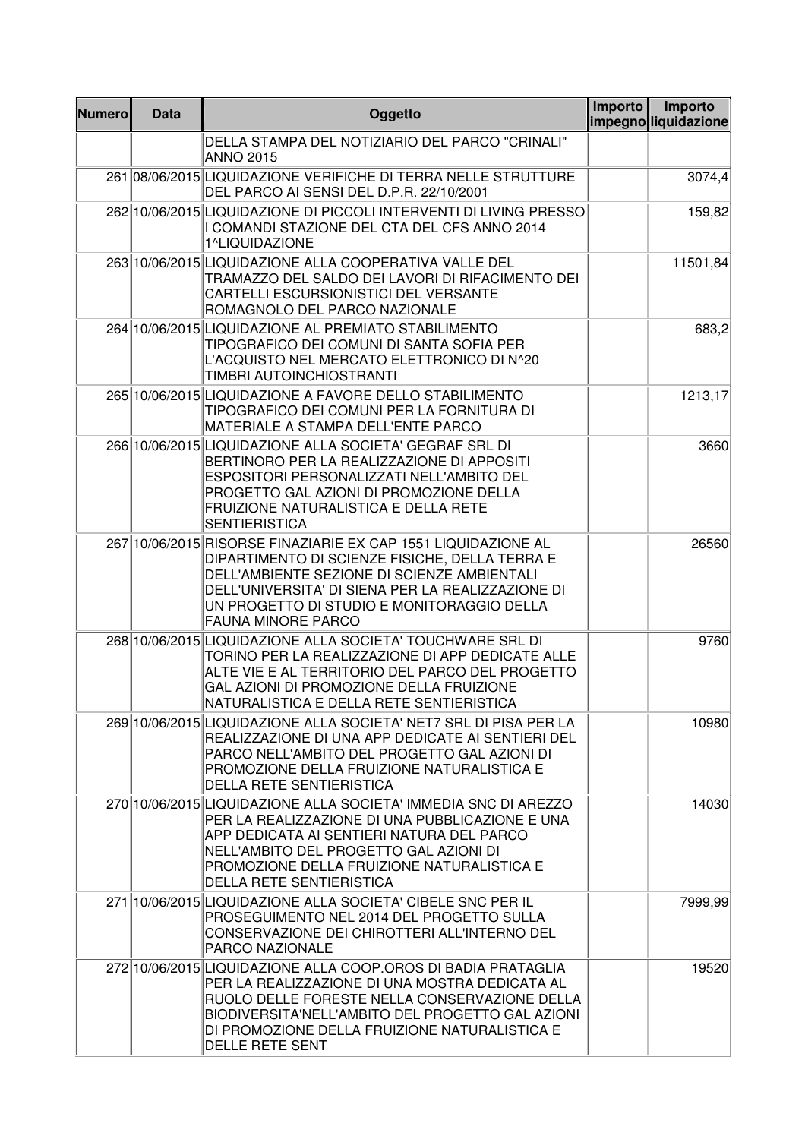| <b>Numero</b> | <b>Data</b> | Oggetto                                                                                                                                                                                                                                                                                        | Importo | Importo<br>impegnoliquidazione |
|---------------|-------------|------------------------------------------------------------------------------------------------------------------------------------------------------------------------------------------------------------------------------------------------------------------------------------------------|---------|--------------------------------|
|               |             | DELLA STAMPA DEL NOTIZIARIO DEL PARCO "CRINALI"<br><b>ANNO 2015</b>                                                                                                                                                                                                                            |         |                                |
|               |             | 261 08/06/2015 LIQUIDAZIONE VERIFICHE DI TERRA NELLE STRUTTURE<br>DEL PARCO AI SENSI DEL D.P.R. 22/10/2001                                                                                                                                                                                     |         | 3074,4                         |
|               |             | 262 10/06/2015 LIQUIDAZIONE DI PICCOLI INTERVENTI DI LIVING PRESSO<br>I COMANDI STAZIONE DEL CTA DEL CFS ANNO 2014<br>1^LIQUIDAZIONE                                                                                                                                                           |         | 159,82                         |
|               |             | 263 10/06/2015 LIQUIDAZIONE ALLA COOPERATIVA VALLE DEL<br>TRAMAZZO DEL SALDO DEI LAVORI DI RIFACIMENTO DEI<br>CARTELLI ESCURSIONISTICI DEL VERSANTE<br>ROMAGNOLO DEL PARCO NAZIONALE                                                                                                           |         | 11501,84                       |
|               |             | 264 10/06/2015 LIQUIDAZIONE AL PREMIATO STABILIMENTO<br>TIPOGRAFICO DEI COMUNI DI SANTA SOFIA PER<br>L'ACQUISTO NEL MERCATO ELETTRONICO DI N^20<br>TIMBRI AUTOINCHIOSTRANTI                                                                                                                    |         | 683,2                          |
|               |             | 265 10/06/2015 LIQUIDAZIONE A FAVORE DELLO STABILIMENTO<br>TIPOGRAFICO DEI COMUNI PER LA FORNITURA DI<br>MATERIALE A STAMPA DELL'ENTE PARCO                                                                                                                                                    |         | 1213,17                        |
|               |             | 266 10/06/2015 LIQUIDAZIONE ALLA SOCIETA' GEGRAF SRL DI<br>BERTINORO PER LA REALIZZAZIONE DI APPOSITI<br>ESPOSITORI PERSONALIZZATI NELL'AMBITO DEL<br>PROGETTO GAL AZIONI DI PROMOZIONE DELLA<br>FRUIZIONE NATURALISTICA E DELLA RETE<br><b>SENTIERISTICA</b>                                  |         | 3660                           |
|               |             | 267 10/06/2015 RISORSE FINAZIARIE EX CAP 1551 LIQUIDAZIONE AL<br>DIPARTIMENTO DI SCIENZE FISICHE, DELLA TERRA E<br>DELL'AMBIENTE SEZIONE DI SCIENZE AMBIENTALI<br>DELL'UNIVERSITA' DI SIENA PER LA REALIZZAZIONE DI<br>UN PROGETTO DI STUDIO E MONITORAGGIO DELLA<br><b>FAUNA MINORE PARCO</b> |         | 26560                          |
|               |             | 268 10/06/2015 LIQUIDAZIONE ALLA SOCIETA' TOUCHWARE SRL DI<br>TORINO PER LA REALIZZAZIONE DI APP DEDICATE ALLE<br>ALTE VIE E AL TERRITORIO DEL PARCO DEL PROGETTO<br>GAL AZIONI DI PROMOZIONE DELLA FRUIZIONE<br>NATURALISTICA E DELLA RETE SENTIERISTICA                                      |         | 9760                           |
|               |             | 269 10/06/2015 LIQUIDAZIONE ALLA SOCIETA' NET7 SRL DI PISA PER LA<br>REALIZZAZIONE DI UNA APP DEDICATE AI SENTIERI DEL<br>PARCO NELL'AMBITO DEL PROGETTO GAL AZIONI DI<br>PROMOZIONE DELLA FRUIZIONE NATURALISTICA E<br><b>DELLA RETE SENTIERISTICA</b>                                        |         | 10980                          |
|               |             | 270 10/06/2015 LIQUIDAZIONE ALLA SOCIETA' IMMEDIA SNC DI AREZZO<br>PER LA REALIZZAZIONE DI UNA PUBBLICAZIONE E UNA<br>APP DEDICATA AI SENTIERI NATURA DEL PARCO<br>NELL'AMBITO DEL PROGETTO GAL AZIONI DI<br>PROMOZIONE DELLA FRUIZIONE NATURALISTICA E<br><b>DELLA RETE SENTIERISTICA</b>     |         | 14030                          |
|               |             | 271 10/06/2015 LIQUIDAZIONE ALLA SOCIETA' CIBELE SNC PER IL<br>PROSEGUIMENTO NEL 2014 DEL PROGETTO SULLA<br>CONSERVAZIONE DEI CHIROTTERI ALL'INTERNO DEL<br><b>PARCO NAZIONALE</b>                                                                                                             |         | 7999,99                        |
|               |             | 272 10/06/2015 LIQUIDAZIONE ALLA COOP.OROS DI BADIA PRATAGLIA<br>PER LA REALIZZAZIONE DI UNA MOSTRA DEDICATA AL<br>RUOLO DELLE FORESTE NELLA CONSERVAZIONE DELLA<br>BIODIVERSITA'NELL'AMBITO DEL PROGETTO GAL AZIONI<br>DI PROMOZIONE DELLA FRUIZIONE NATURALISTICA E<br>DELLE RETE SENT       |         | 19520                          |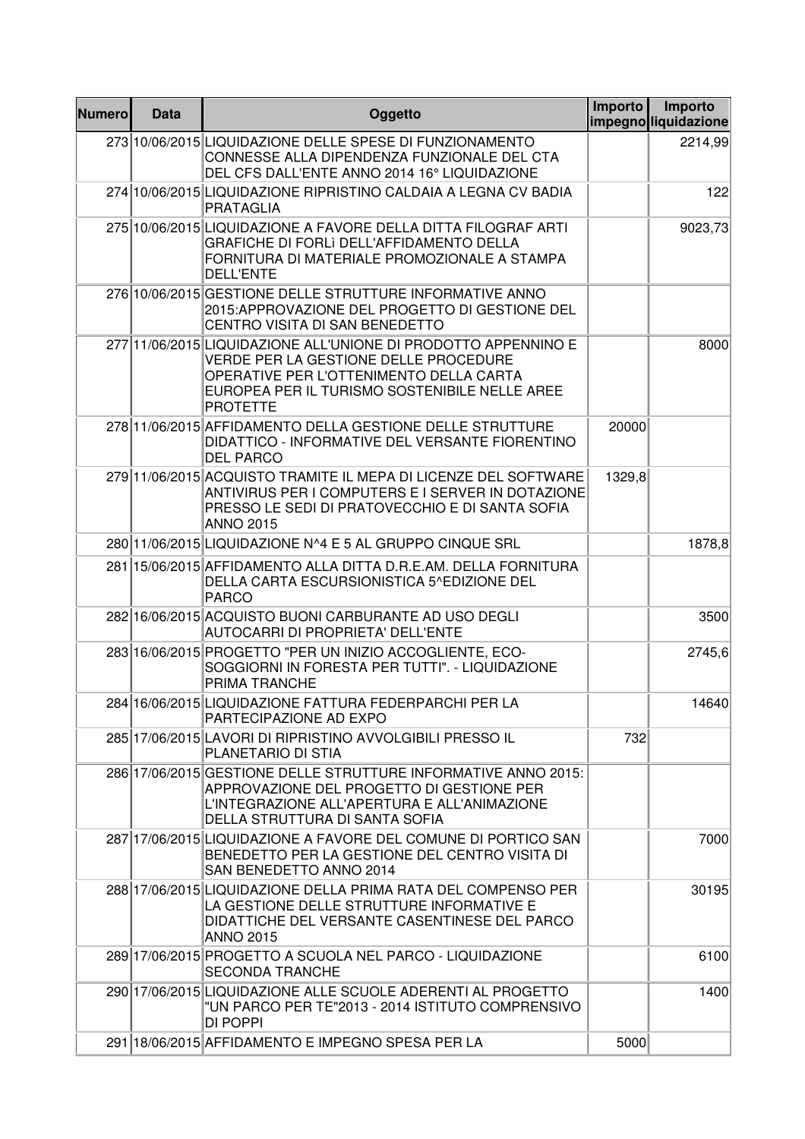| <b>Numero</b> | <b>Data</b> | Oggetto                                                                                                                                                                                                                | Importo | Importo<br>impegno liquidazione |
|---------------|-------------|------------------------------------------------------------------------------------------------------------------------------------------------------------------------------------------------------------------------|---------|---------------------------------|
|               |             | 273 10/06/2015 LIQUIDAZIONE DELLE SPESE DI FUNZIONAMENTO<br>CONNESSE ALLA DIPENDENZA FUNZIONALE DEL CTA<br>DEL CFS DALL'ENTE ANNO 2014 16° LIQUIDAZIONE                                                                |         | 2214,99                         |
|               |             | 274 10/06/2015 LIQUIDAZIONE RIPRISTINO CALDAIA A LEGNA CV BADIA<br><b>PRATAGLIA</b>                                                                                                                                    |         | 122                             |
|               |             | 275 10/06/2015 LIQUIDAZIONE A FAVORE DELLA DITTA FILOGRAF ARTI<br>GRAFICHE DI FORLI DELL'AFFIDAMENTO DELLA<br>FORNITURA DI MATERIALE PROMOZIONALE A STAMPA<br><b>DELL'ENTE</b>                                         |         | 9023,73                         |
|               |             | 276 10/06/2015 GESTIONE DELLE STRUTTURE INFORMATIVE ANNO<br>2015:APPROVAZIONE DEL PROGETTO DI GESTIONE DEL<br>CENTRO VISITA DI SAN BENEDETTO                                                                           |         |                                 |
|               |             | 277 11/06/2015 LIQUIDAZIONE ALL'UNIONE DI PRODOTTO APPENNINO E<br>VERDE PER LA GESTIONE DELLE PROCEDURE<br>OPERATIVE PER L'OTTENIMENTO DELLA CARTA<br>EUROPEA PER IL TURISMO SOSTENIBILE NELLE AREE<br><b>PROTETTE</b> |         | 8000                            |
|               |             | 278 11/06/2015 AFFIDAMENTO DELLA GESTIONE DELLE STRUTTURE<br>DIDATTICO - INFORMATIVE DEL VERSANTE FIORENTINO<br><b>DEL PARCO</b>                                                                                       | 20000   |                                 |
|               |             | 279 1/06/2015 ACQUISTO TRAMITE IL MEPA DI LICENZE DEL SOFTWARE<br>ANTIVIRUS PER I COMPUTERS E I SERVER IN DOTAZIONE<br>PRESSO LE SEDI DI PRATOVECCHIO E DI SANTA SOFIA<br><b>ANNO 2015</b>                             | 1329,8  |                                 |
|               |             | 280 11/06/2015 LIQUIDAZIONE N^4 E 5 AL GRUPPO CINQUE SRL                                                                                                                                                               |         | 1878,8                          |
|               |             | 281 15/06/2015 AFFIDAMENTO ALLA DITTA D.R.E.AM. DELLA FORNITURA<br>DELLA CARTA ESCURSIONISTICA 5^EDIZIONE DEL<br><b>PARCO</b>                                                                                          |         |                                 |
|               |             | 282 16/06/2015 ACQUISTO BUONI CARBURANTE AD USO DEGLI<br>AUTOCARRI DI PROPRIETA' DELL'ENTE                                                                                                                             |         | 3500                            |
|               |             | 283 16/06/2015 PROGETTO "PER UN INIZIO ACCOGLIENTE, ECO-<br>SOGGIORNI IN FORESTA PER TUTTI". - LIQUIDAZIONE<br>PRIMA TRANCHE                                                                                           |         | 2745,6                          |
|               |             | 284 16/06/2015 LIQUIDAZIONE FATTURA FEDERPARCHI PER LA<br>PARTECIPAZIONE AD EXPO                                                                                                                                       |         | 14640                           |
|               |             | 285 17/06/2015 LAVORI DI RIPRISTINO AVVOLGIBILI PRESSO IL<br>PLANETARIO DI STIA                                                                                                                                        | 732     |                                 |
|               |             | 286 17/06/2015 GESTIONE DELLE STRUTTURE INFORMATIVE ANNO 2015:<br>APPROVAZIONE DEL PROGETTO DI GESTIONE PER<br>L'INTEGRAZIONE ALL'APERTURA E ALL'ANIMAZIONE<br>DELLA STRUTTURA DI SANTA SOFIA                          |         |                                 |
|               |             | 287 17/06/2015 LIQUIDAZIONE A FAVORE DEL COMUNE DI PORTICO SAN<br>BENEDETTO PER LA GESTIONE DEL CENTRO VISITA DI<br>SAN BENEDETTO ANNO 2014                                                                            |         | 7000                            |
|               |             | 288 17/06/2015 LIQUIDAZIONE DELLA PRIMA RATA DEL COMPENSO PER<br>LA GESTIONE DELLE STRUTTURE INFORMATIVE E<br>DIDATTICHE DEL VERSANTE CASENTINESE DEL PARCO<br><b>ANNO 2015</b>                                        |         | 30195                           |
|               |             | 289 17/06/2015 PROGETTO A SCUOLA NEL PARCO - LIQUIDAZIONE<br><b>SECONDA TRANCHE</b>                                                                                                                                    |         | 6100                            |
|               |             | 290 17/06/2015 LIQUIDAZIONE ALLE SCUOLE ADERENTI AL PROGETTO<br>"UN PARCO PER TE"2013 - 2014 ISTITUTO COMPRENSIVO<br>DI POPPI                                                                                          |         | 1400                            |
|               |             | 291 18/06/2015 AFFIDAMENTO E IMPEGNO SPESA PER LA                                                                                                                                                                      | 5000    |                                 |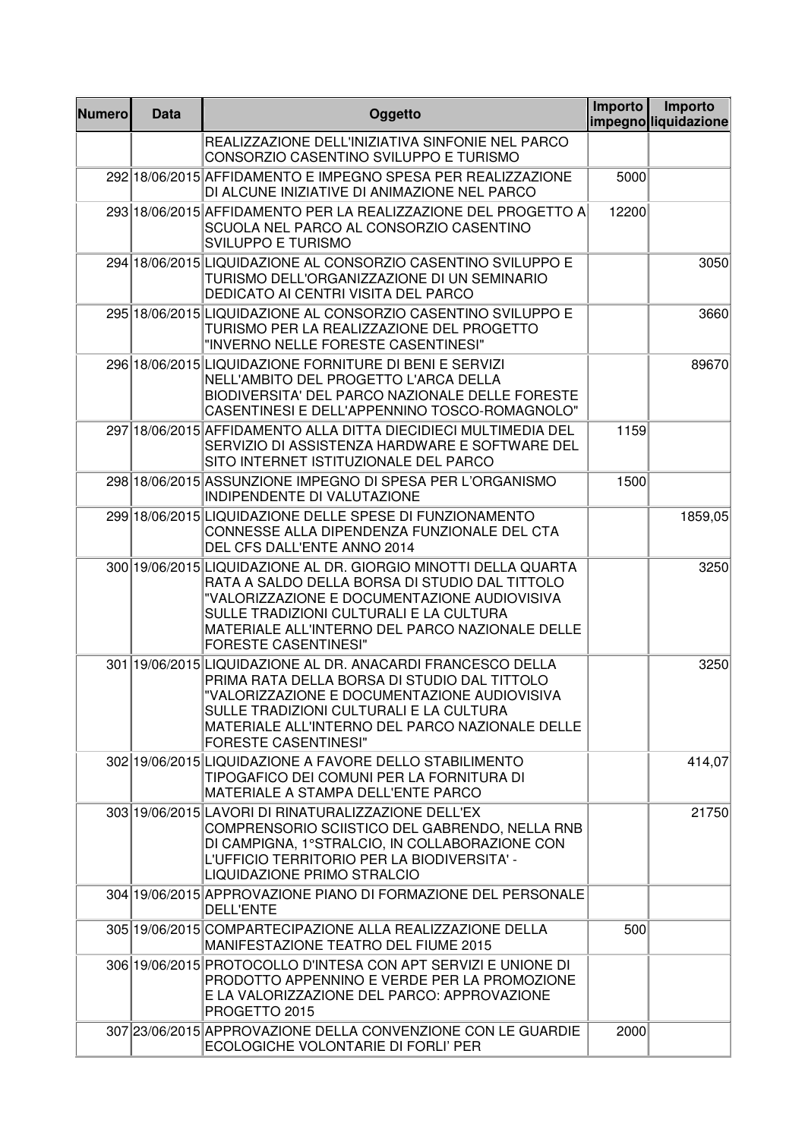| <b>Numero</b> | <b>Data</b> | Oggetto                                                                                                                                                                                                                                                                                        | Importo | Importo<br>impegnoliquidazione |
|---------------|-------------|------------------------------------------------------------------------------------------------------------------------------------------------------------------------------------------------------------------------------------------------------------------------------------------------|---------|--------------------------------|
|               |             | REALIZZAZIONE DELL'INIZIATIVA SINFONIE NEL PARCO<br>CONSORZIO CASENTINO SVILUPPO E TURISMO                                                                                                                                                                                                     |         |                                |
|               |             | 292 18/06/2015 AFFIDAMENTO E IMPEGNO SPESA PER REALIZZAZIONE<br>DI ALCUNE INIZIATIVE DI ANIMAZIONE NEL PARCO                                                                                                                                                                                   | 5000    |                                |
|               |             | 293 18/06/2015 AFFIDAMENTO PER LA REALIZZAZIONE DEL PROGETTO A<br>SCUOLA NEL PARCO AL CONSORZIO CASENTINO<br><b>SVILUPPO E TURISMO</b>                                                                                                                                                         | 12200   |                                |
|               |             | 294 18/06/2015 LIQUIDAZIONE AL CONSORZIO CASENTINO SVILUPPO E<br>TURISMO DELL'ORGANIZZAZIONE DI UN SEMINARIO<br>DEDICATO AI CENTRI VISITA DEL PARCO                                                                                                                                            |         | 3050                           |
|               |             | 295 18/06/2015 LIQUIDAZIONE AL CONSORZIO CASENTINO SVILUPPO E<br>TURISMO PER LA REALIZZAZIONE DEL PROGETTO<br>"INVERNO NELLE FORESTE CASENTINESI"                                                                                                                                              |         | 3660                           |
|               |             | 296 18/06/2015 LIQUIDAZIONE FORNITURE DI BENI E SERVIZI<br>NELL'AMBITO DEL PROGETTO L'ARCA DELLA<br>BIODIVERSITA' DEL PARCO NAZIONALE DELLE FORESTE<br>CASENTINESI E DELL'APPENNINO TOSCO-ROMAGNOLO"                                                                                           |         | 89670                          |
|               |             | 297 18/06/2015 AFFIDAMENTO ALLA DITTA DIECIDIECI MULTIMEDIA DEL<br>SERVIZIO DI ASSISTENZA HARDWARE E SOFTWARE DEL<br>SITO INTERNET ISTITUZIONALE DEL PARCO                                                                                                                                     | 1159    |                                |
|               |             | 298 18/06/2015 ASSUNZIONE IMPEGNO DI SPESA PER L'ORGANISMO<br>INDIPENDENTE DI VALUTAZIONE                                                                                                                                                                                                      | 1500    |                                |
|               |             | 299 18/06/2015 LIQUIDAZIONE DELLE SPESE DI FUNZIONAMENTO<br>CONNESSE ALLA DIPENDENZA FUNZIONALE DEL CTA<br>DEL CFS DALL'ENTE ANNO 2014                                                                                                                                                         |         | 1859,05                        |
|               |             | 300 19/06/2015 LIQUIDAZIONE AL DR. GIORGIO MINOTTI DELLA QUARTA<br>RATA A SALDO DELLA BORSA DI STUDIO DAL TITTOLO<br>"VALORIZZAZIONE E DOCUMENTAZIONE AUDIOVISIVA<br>SULLE TRADIZIONI CULTURALI E LA CULTURA<br>MATERIALE ALL'INTERNO DEL PARCO NAZIONALE DELLE<br><b>FORESTE CASENTINESI"</b> |         | 3250                           |
|               |             | 301 19/06/2015 LIQUIDAZIONE AL DR. ANACARDI FRANCESCO DELLA<br>PRIMA RATA DELLA BORSA DI STUDIO DAL TITTOLO<br>"VALORIZZAZIONE E DOCUMENTAZIONE AUDIOVISIVA<br>SULLE TRADIZIONI CULTURALI E LA CULTURA<br>MATERIALE ALL'INTERNO DEL PARCO NAZIONALE DELLE<br><b>FORESTE CASENTINESI"</b>       |         | 3250                           |
|               |             | 302 19/06/2015 LIQUIDAZIONE A FAVORE DELLO STABILIMENTO<br>TIPOGAFICO DEI COMUNI PER LA FORNITURA DI<br>MATERIALE A STAMPA DELL'ENTE PARCO                                                                                                                                                     |         | 414,07                         |
|               |             | 303 19/06/2015 LAVORI DI RINATURALIZZAZIONE DELL'EX<br>COMPRENSORIO SCIISTICO DEL GABRENDO, NELLA RNB<br>DI CAMPIGNA, 1°STRALCIO, IN COLLABORAZIONE CON<br>L'UFFICIO TERRITORIO PER LA BIODIVERSITA' -<br>LIQUIDAZIONE PRIMO STRALCIO                                                          |         | 21750                          |
|               |             | 304 19/06/2015 APPROVAZIONE PIANO DI FORMAZIONE DEL PERSONALE<br><b>DELL'ENTE</b>                                                                                                                                                                                                              |         |                                |
|               |             | 305 19/06/2015 COMPARTECIPAZIONE ALLA REALIZZAZIONE DELLA<br>MANIFESTAZIONE TEATRO DEL FIUME 2015                                                                                                                                                                                              | 500     |                                |
|               |             | 306 19/06/2015 PROTOCOLLO D'INTESA CON APT SERVIZI E UNIONE DI<br>PRODOTTO APPENNINO E VERDE PER LA PROMOZIONE<br>E LA VALORIZZAZIONE DEL PARCO: APPROVAZIONE<br>PROGETTO 2015                                                                                                                 |         |                                |
|               |             | 307 23/06/2015 APPROVAZIONE DELLA CONVENZIONE CON LE GUARDIE<br>ECOLOGICHE VOLONTARIE DI FORLI' PER                                                                                                                                                                                            | 2000    |                                |